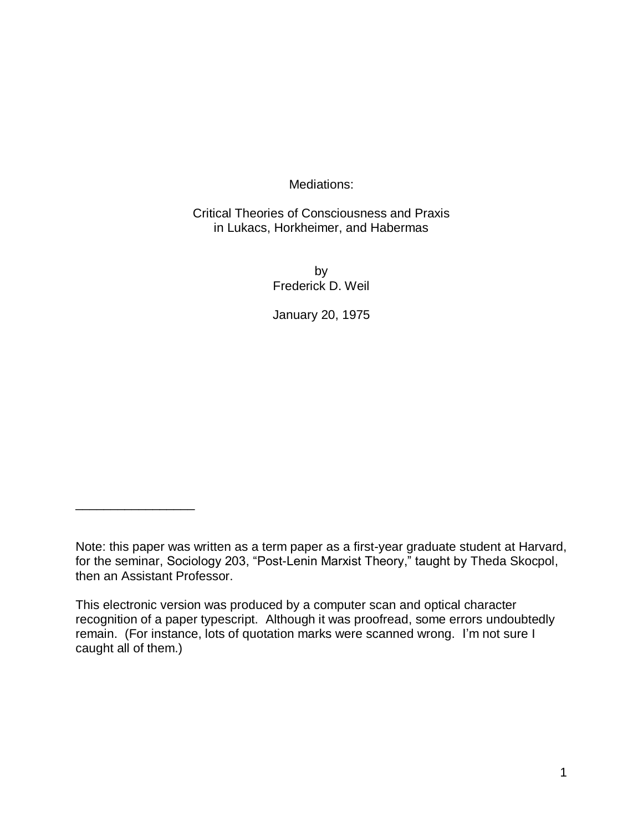Mediations:

## Critical Theories of Consciousness and Praxis in Lukacs, Horkheimer, and Habermas

by Frederick D. Weil

January 20, 1975

\_\_\_\_\_\_\_\_\_\_\_\_\_\_\_\_\_

Note: this paper was written as a term paper as a first-year graduate student at Harvard, for the seminar, Sociology 203, "Post-Lenin Marxist Theory," taught by Theda Skocpol, then an Assistant Professor.

This electronic version was produced by a computer scan and optical character recognition of a paper typescript. Although it was proofread, some errors undoubtedly remain. (For instance, lots of quotation marks were scanned wrong. I'm not sure I caught all of them.)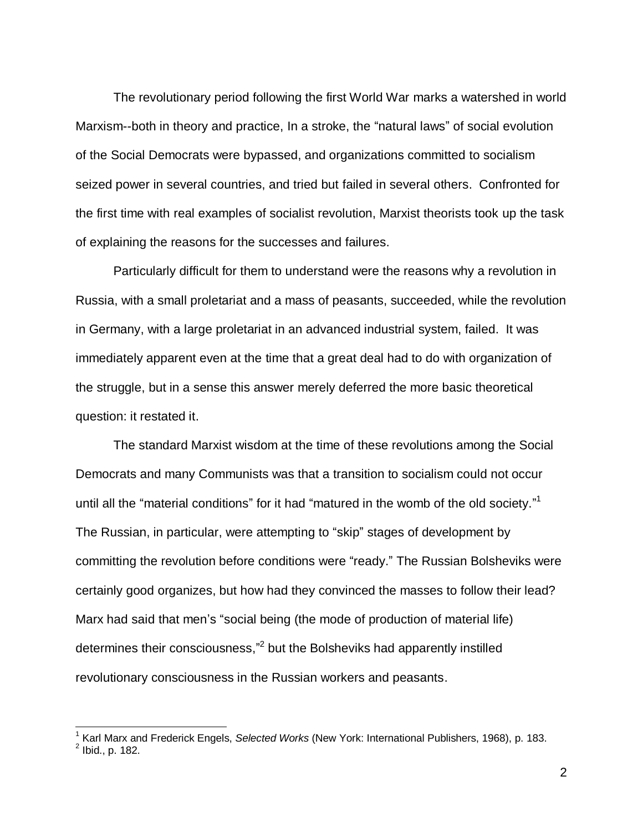The revolutionary period following the first World War marks a watershed in world Marxism--both in theory and practice, In a stroke, the "natural laws" of social evolution of the Social Democrats were bypassed, and organizations committed to socialism seized power in several countries, and tried but failed in several others. Confronted for the first time with real examples of socialist revolution, Marxist theorists took up the task of explaining the reasons for the successes and failures.

Particularly difficult for them to understand were the reasons why a revolution in Russia, with a small proletariat and a mass of peasants, succeeded, while the revolution in Germany, with a large proletariat in an advanced industrial system, failed. It was immediately apparent even at the time that a great deal had to do with organization of the struggle, but in a sense this answer merely deferred the more basic theoretical question: it restated it.

The standard Marxist wisdom at the time of these revolutions among the Social Democrats and many Communists was that a transition to socialism could not occur until all the "material conditions" for it had "matured in the womb of the old society."<sup>1</sup> The Russian, in particular, were attempting to "skip" stages of development by committing the revolution before conditions were "ready." The Russian Bolsheviks were certainly good organizes, but how had they convinced the masses to follow their lead? Marx had said that men's "social being (the mode of production of material life) determines their consciousness,"<sup>2</sup> but the Bolsheviks had apparently instilled revolutionary consciousness in the Russian workers and peasants.

 $\overline{1}$ 

<sup>&</sup>lt;sup>1</sup> Karl Marx and Frederick Engels, *Selected Works* (New York: International Publishers, 1968), p. 183.<br><sup>2</sup> Ibid., p. 182.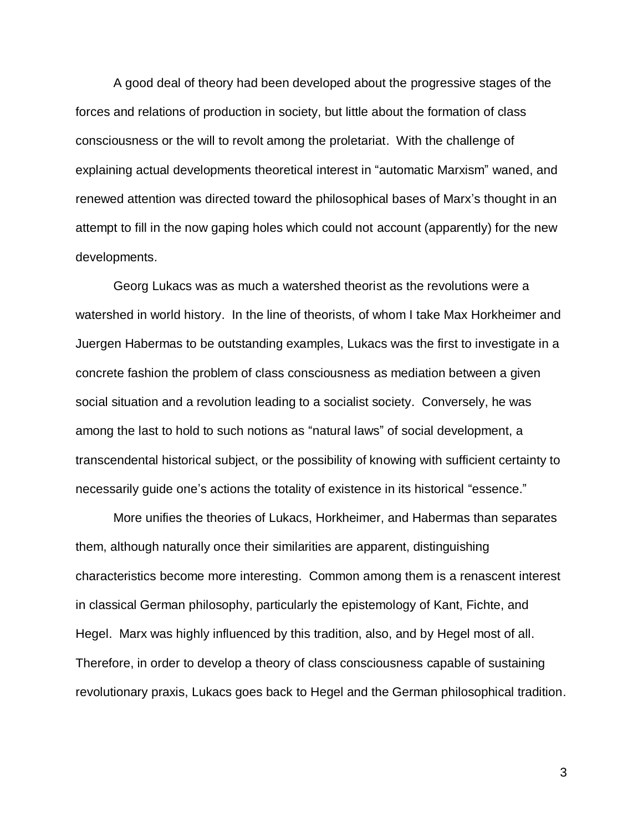A good deal of theory had been developed about the progressive stages of the forces and relations of production in society, but little about the formation of class consciousness or the will to revolt among the proletariat. With the challenge of explaining actual developments theoretical interest in "automatic Marxism" waned, and renewed attention was directed toward the philosophical bases of Marx's thought in an attempt to fill in the now gaping holes which could not account (apparently) for the new developments.

Georg Lukacs was as much a watershed theorist as the revolutions were a watershed in world history. In the line of theorists, of whom I take Max Horkheimer and Juergen Habermas to be outstanding examples, Lukacs was the first to investigate in a concrete fashion the problem of class consciousness as mediation between a given social situation and a revolution leading to a socialist society. Conversely, he was among the last to hold to such notions as "natural laws" of social development, a transcendental historical subject, or the possibility of knowing with sufficient certainty to necessarily guide one's actions the totality of existence in its historical "essence."

More unifies the theories of Lukacs, Horkheimer, and Habermas than separates them, although naturally once their similarities are apparent, distinguishing characteristics become more interesting. Common among them is a renascent interest in classical German philosophy, particularly the epistemology of Kant, Fichte, and Hegel. Marx was highly influenced by this tradition, also, and by Hegel most of all. Therefore, in order to develop a theory of class consciousness capable of sustaining revolutionary praxis, Lukacs goes back to Hegel and the German philosophical tradition.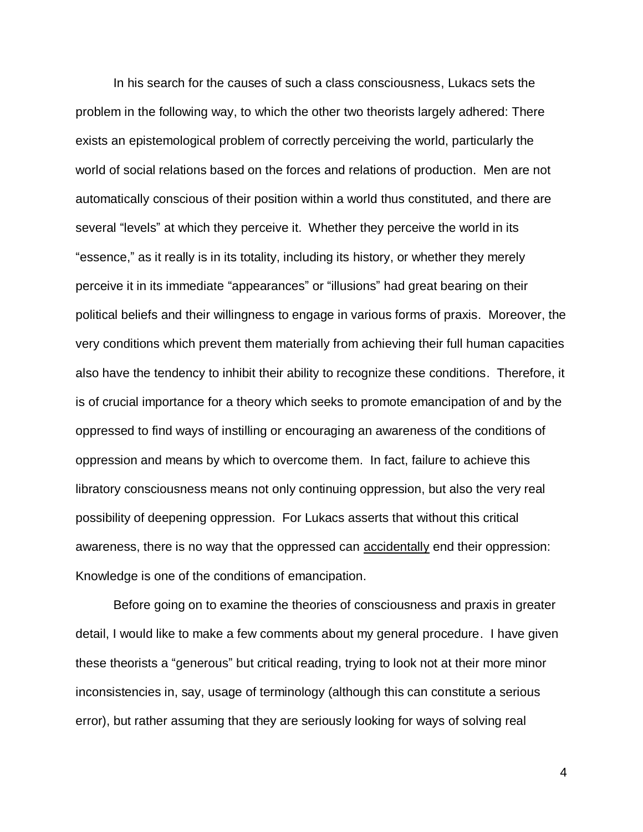In his search for the causes of such a class consciousness, Lukacs sets the problem in the following way, to which the other two theorists largely adhered: There exists an epistemological problem of correctly perceiving the world, particularly the world of social relations based on the forces and relations of production. Men are not automatically conscious of their position within a world thus constituted, and there are several "levels" at which they perceive it. Whether they perceive the world in its "essence," as it really is in its totality, including its history, or whether they merely perceive it in its immediate "appearances" or "illusions" had great bearing on their political beliefs and their willingness to engage in various forms of praxis. Moreover, the very conditions which prevent them materially from achieving their full human capacities also have the tendency to inhibit their ability to recognize these conditions. Therefore, it is of crucial importance for a theory which seeks to promote emancipation of and by the oppressed to find ways of instilling or encouraging an awareness of the conditions of oppression and means by which to overcome them. In fact, failure to achieve this libratory consciousness means not only continuing oppression, but also the very real possibility of deepening oppression. For Lukacs asserts that without this critical awareness, there is no way that the oppressed can accidentally end their oppression: Knowledge is one of the conditions of emancipation.

Before going on to examine the theories of consciousness and praxis in greater detail, I would like to make a few comments about my general procedure. I have given these theorists a "generous" but critical reading, trying to look not at their more minor inconsistencies in, say, usage of terminology (although this can constitute a serious error), but rather assuming that they are seriously looking for ways of solving real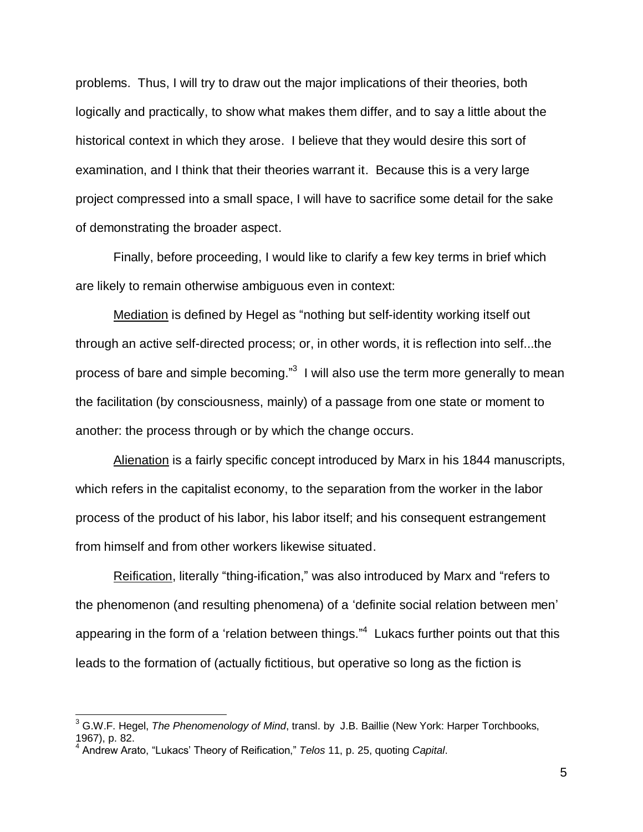problems. Thus, I will try to draw out the major implications of their theories, both logically and practically, to show what makes them differ, and to say a little about the historical context in which they arose. I believe that they would desire this sort of examination, and I think that their theories warrant it. Because this is a very large project compressed into a small space, I will have to sacrifice some detail for the sake of demonstrating the broader aspect.

Finally, before proceeding, I would like to clarify a few key terms in brief which are likely to remain otherwise ambiguous even in context:

Mediation is defined by Hegel as "nothing but self-identity working itself out through an active self-directed process; or, in other words, it is reflection into self...the process of bare and simple becoming." $3$  I will also use the term more generally to mean the facilitation (by consciousness, mainly) of a passage from one state or moment to another: the process through or by which the change occurs.

Alienation is a fairly specific concept introduced by Marx in his 1844 manuscripts, which refers in the capitalist economy, to the separation from the worker in the labor process of the product of his labor, his labor itself; and his consequent estrangement from himself and from other workers likewise situated.

Reification, literally "thing-ification," was also introduced by Marx and "refers to the phenomenon (and resulting phenomena) of a 'definite social relation between men' appearing in the form of a 'relation between things."<sup>4</sup> Lukacs further points out that this leads to the formation of (actually fictitious, but operative so long as the fiction is

 $\overline{\phantom{a}}$ 

<sup>3</sup> G.W.F. Hegel, *The Phenomenology of Mind*, transl. by J.B. Baillie (New York: Harper Torchbooks, 1967), p. 82.

<sup>4</sup> Andrew Arato, "Lukacs' Theory of Reification," *Telos* 11, p. 25, quoting *Capital*.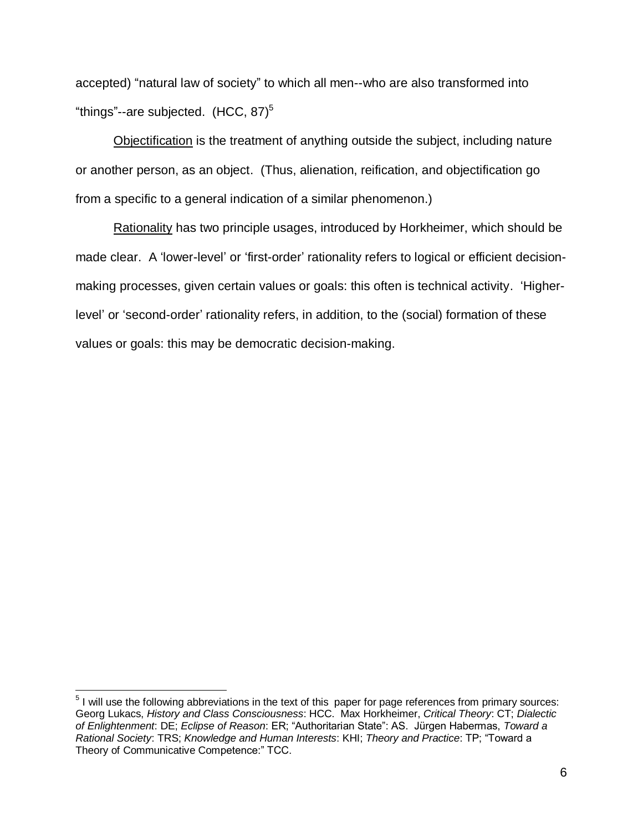accepted) "natural law of society" to which all men--who are also transformed into "things"--are subjected.  $(HCC, 87)^5$ 

Objectification is the treatment of anything outside the subject, including nature or another person, as an object. (Thus, alienation, reification, and objectification go from a specific to a general indication of a similar phenomenon.)

Rationality has two principle usages, introduced by Horkheimer, which should be made clear. A 'lower-level' or 'first-order' rationality refers to logical or efficient decisionmaking processes, given certain values or goals: this often is technical activity. 'Higherlevel' or 'second-order' rationality refers, in addition, to the (social) formation of these values or goals: this may be democratic decision-making.

 $\overline{a}$ 

 $5$  I will use the following abbreviations in the text of this paper for page references from primary sources: Georg Lukacs, *History and Class Consciousness*: HCC. Max Horkheimer, *Critical Theory*: CT; *Dialectic of Enlightenment*: DE; *Eclipse of Reason*: ER; "Authoritarian State": AS. Jürgen Habermas, *Toward a Rational Society*: TRS; *Knowledge and Human Interests*: KHI; *Theory and Practice*: TP; "Toward a Theory of Communicative Competence:" TCC.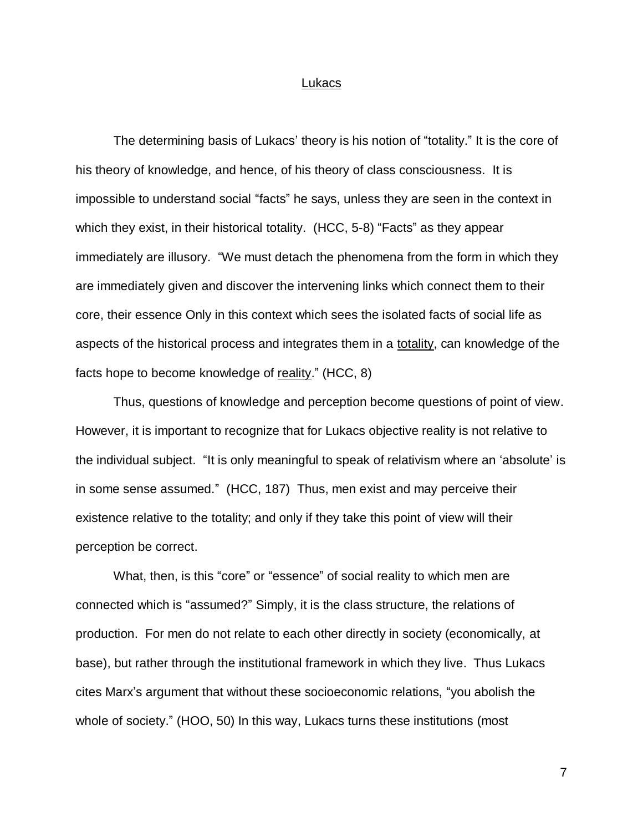#### Lukacs

The determining basis of Lukacs' theory is his notion of "totality." It is the core of his theory of knowledge, and hence, of his theory of class consciousness. It is impossible to understand social "facts" he says, unless they are seen in the context in which they exist, in their historical totality. (HCC, 5-8) "Facts" as they appear immediately are illusory. "We must detach the phenomena from the form in which they are immediately given and discover the intervening links which connect them to their core, their essence Only in this context which sees the isolated facts of social life as aspects of the historical process and integrates them in a totality, can knowledge of the facts hope to become knowledge of reality." (HCC, 8)

Thus, questions of knowledge and perception become questions of point of view. However, it is important to recognize that for Lukacs objective reality is not relative to the individual subject. "It is only meaningful to speak of relativism where an 'absolute' is in some sense assumed." (HCC, 187) Thus, men exist and may perceive their existence relative to the totality; and only if they take this point of view will their perception be correct.

What, then, is this "core" or "essence" of social reality to which men are connected which is "assumed?" Simply, it is the class structure, the relations of production. For men do not relate to each other directly in society (economically, at base), but rather through the institutional framework in which they live. Thus Lukacs cites Marx's argument that without these socioeconomic relations, "you abolish the whole of society." (HOO, 50) In this way, Lukacs turns these institutions (most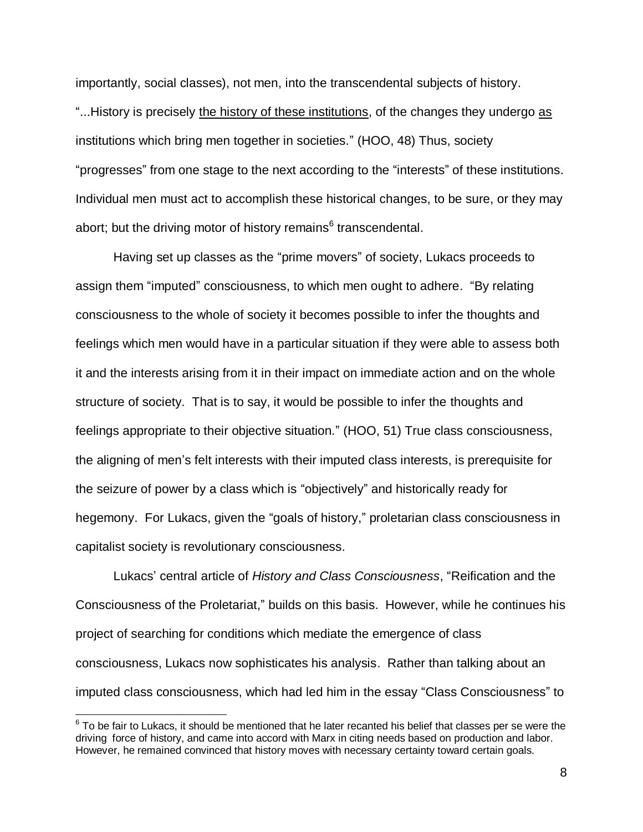importantly, social classes), not men, into the transcendental subjects of history. "...History is precisely the history of these institutions, of the changes they undergo as institutions which bring men together in societies." (HOO, 48) Thus, society "progresses" from one stage to the next according to the "interests" of these institutions. Individual men must act to accomplish these historical changes, to be sure, or they may abort; but the driving motor of history remains<sup>6</sup> transcendental.

Having set up classes as the "prime movers" of society, Lukacs proceeds to assign them "imputed" consciousness, to which men ought to adhere. "By relating consciousness to the whole of society it becomes possible to infer the thoughts and feelings which men would have in a particular situation if they were able to assess both it and the interests arising from it in their impact on immediate action and on the whole structure of society. That is to say, it would be possible to infer the thoughts and feelings appropriate to their objective situation." (HOO, 51) True class consciousness, the aligning of men's felt interests with their imputed class interests, is prerequisite for the seizure of power by a class which is "objectively" and historically ready for hegemony. For Lukacs, given the "goals of history," proletarian class consciousness in capitalist society is revolutionary consciousness.

Lukacs' central article of *History and Class Consciousness*, "Reification and the Consciousness of the Proletariat," builds on this basis. However, while he continues his project of searching for conditions which mediate the emergence of class consciousness, Lukacs now sophisticates his analysis. Rather than talking about an imputed class consciousness, which had led him in the essay "Class Consciousness" to

 $\overline{\phantom{a}}$ 

 $^6$  To be fair to Lukacs, it should be mentioned that he later recanted his belief that classes per se were the driving force of history, and came into accord with Marx in citing needs based on production and labor. However, he remained convinced that history moves with necessary certainty toward certain goals.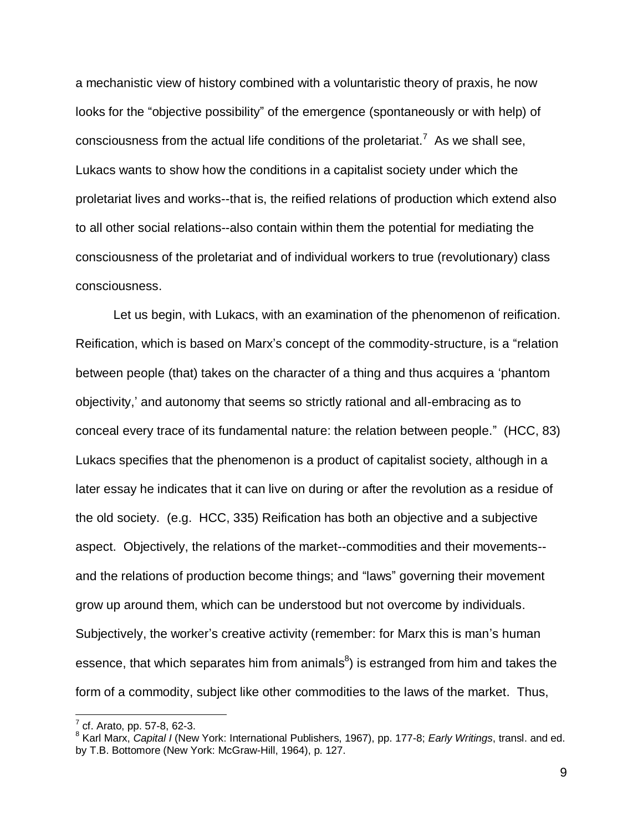a mechanistic view of history combined with a voluntaristic theory of praxis, he now looks for the "objective possibility" of the emergence (spontaneously or with help) of consciousness from the actual life conditions of the proletariat.<sup>7</sup> As we shall see, Lukacs wants to show how the conditions in a capitalist society under which the proletariat lives and works--that is, the reified relations of production which extend also to all other social relations--also contain within them the potential for mediating the consciousness of the proletariat and of individual workers to true (revolutionary) class consciousness.

Let us begin, with Lukacs, with an examination of the phenomenon of reification. Reification, which is based on Marx's concept of the commodity-structure, is a "relation between people (that) takes on the character of a thing and thus acquires a 'phantom objectivity,' and autonomy that seems so strictly rational and all-embracing as to conceal every trace of its fundamental nature: the relation between people." (HCC, 83) Lukacs specifies that the phenomenon is a product of capitalist society, although in a later essay he indicates that it can live on during or after the revolution as a residue of the old society. (e.g. HCC, 335) Reification has both an objective and a subjective aspect. Objectively, the relations of the market--commodities and their movements- and the relations of production become things; and "laws" governing their movement grow up around them, which can be understood but not overcome by individuals. Subjectively, the worker's creative activity (remember: for Marx this is man's human essence, that which separates him from animals $^8$ ) is estranged from him and takes the form of a commodity, subject like other commodities to the laws of the market. Thus,

 $\overline{a}$ 

 $\frac{7}{1}$  cf. Arato, pp. 57-8, 62-3.

<sup>8</sup> Karl Marx, *Capital I* (New York: International Publishers, 1967), pp. 177-8; *Early Writings*, transl. and ed. by T.B. Bottomore (New York: McGraw-Hill, 1964), p. 127.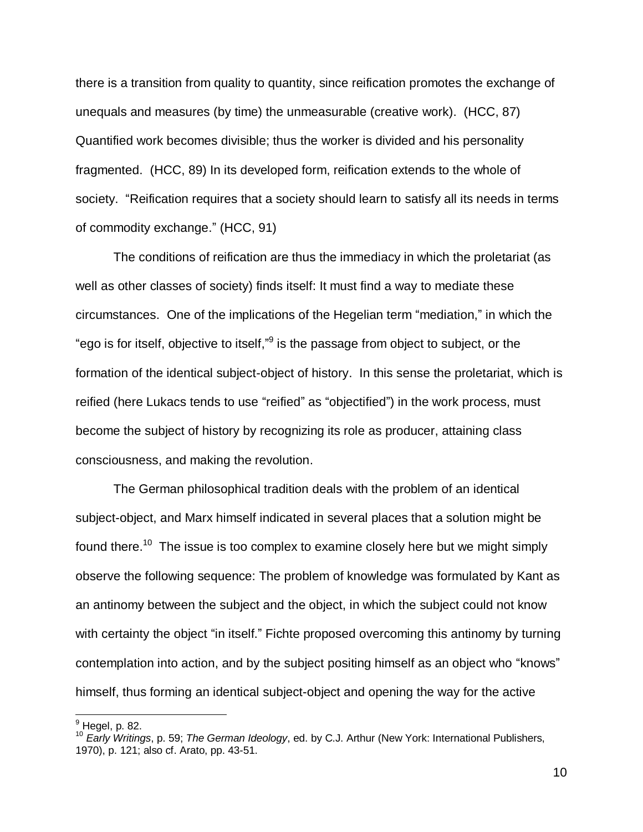there is a transition from quality to quantity, since reification promotes the exchange of unequals and measures (by time) the unmeasurable (creative work). (HCC, 87) Quantified work becomes divisible; thus the worker is divided and his personality fragmented. (HCC, 89) In its developed form, reification extends to the whole of society. "Reification requires that a society should learn to satisfy all its needs in terms of commodity exchange." (HCC, 91)

The conditions of reification are thus the immediacy in which the proletariat (as well as other classes of society) finds itself: It must find a way to mediate these circumstances. One of the implications of the Hegelian term "mediation," in which the "ego is for itself, objective to itself," $9$  is the passage from object to subject, or the formation of the identical subject-object of history. In this sense the proletariat, which is reified (here Lukacs tends to use "reified" as "objectified") in the work process, must become the subject of history by recognizing its role as producer, attaining class consciousness, and making the revolution.

The German philosophical tradition deals with the problem of an identical subject-object, and Marx himself indicated in several places that a solution might be found there.<sup>10</sup> The issue is too complex to examine closely here but we might simply observe the following sequence: The problem of knowledge was formulated by Kant as an antinomy between the subject and the object, in which the subject could not know with certainty the object "in itself." Fichte proposed overcoming this antinomy by turning contemplation into action, and by the subject positing himself as an object who "knows" himself, thus forming an identical subject-object and opening the way for the active

 $\overline{\phantom{a}}$ 

 $<sup>9</sup>$  Hegel, p. 82.</sup>

<sup>10</sup> *Early Writings*, p. 59; *The German Ideology*, ed. by C.J. Arthur (New York: International Publishers, 1970), p. 121; also cf. Arato, pp. 43-51.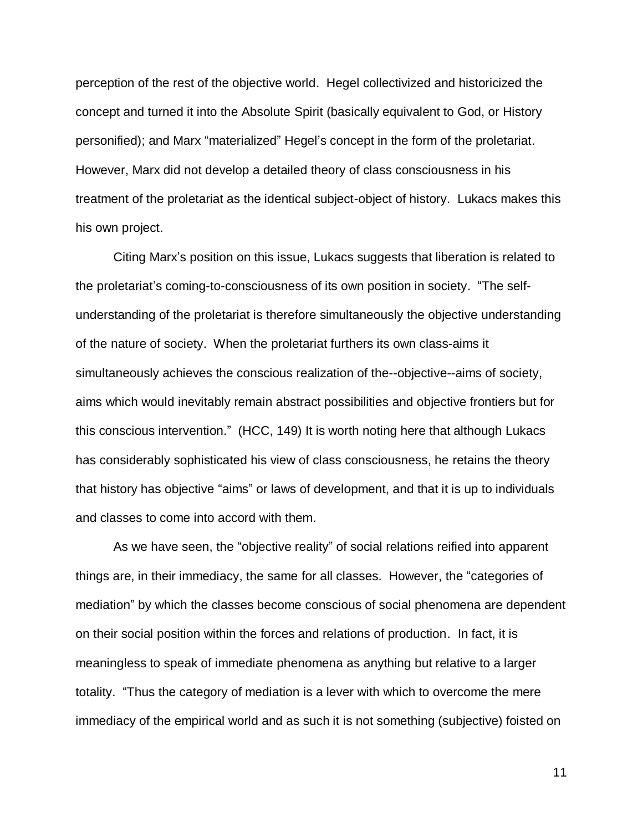perception of the rest of the objective world. Hegel collectivized and historicized the concept and turned it into the Absolute Spirit (basically equivalent to God, or History personified); and Marx "materialized" Hegel's concept in the form of the proletariat. However, Marx did not develop a detailed theory of class consciousness in his treatment of the proletariat as the identical subject-object of history. Lukacs makes this his own project.

Citing Marx's position on this issue, Lukacs suggests that liberation is related to the proletariat's coming-to-consciousness of its own position in society. "The selfunderstanding of the proletariat is therefore simultaneously the objective understanding of the nature of society. When the proletariat furthers its own class-aims it simultaneously achieves the conscious realization of the--objective--aims of society, aims which would inevitably remain abstract possibilities and objective frontiers but for this conscious intervention." (HCC, 149) It is worth noting here that although Lukacs has considerably sophisticated his view of class consciousness, he retains the theory that history has objective "aims" or laws of development, and that it is up to individuals and classes to come into accord with them.

As we have seen, the "objective reality" of social relations reified into apparent things are, in their immediacy, the same for all classes. However, the "categories of mediation" by which the classes become conscious of social phenomena are dependent on their social position within the forces and relations of production. In fact, it is meaningless to speak of immediate phenomena as anything but relative to a larger totality. "Thus the category of mediation is a lever with which to overcome the mere immediacy of the empirical world and as such it is not something (subjective) foisted on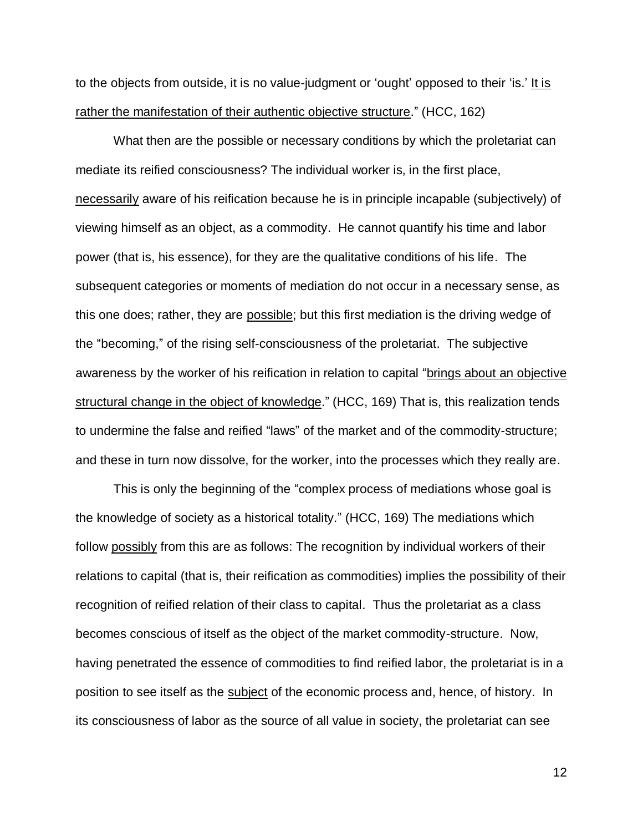to the objects from outside, it is no value-judgment or 'ought' opposed to their 'is.' It is rather the manifestation of their authentic objective structure." (HCC, 162)

What then are the possible or necessary conditions by which the proletariat can mediate its reified consciousness? The individual worker is, in the first place, necessarily aware of his reification because he is in principle incapable (subjectively) of viewing himself as an object, as a commodity. He cannot quantify his time and labor power (that is, his essence), for they are the qualitative conditions of his life. The subsequent categories or moments of mediation do not occur in a necessary sense, as this one does; rather, they are possible; but this first mediation is the driving wedge of the "becoming," of the rising self-consciousness of the proletariat. The subjective awareness by the worker of his reification in relation to capital "brings about an objective structural change in the object of knowledge." (HCC, 169) That is, this realization tends to undermine the false and reified "laws" of the market and of the commodity-structure; and these in turn now dissolve, for the worker, into the processes which they really are.

This is only the beginning of the "complex process of mediations whose goal is the knowledge of society as a historical totality." (HCC, 169) The mediations which follow possibly from this are as follows: The recognition by individual workers of their relations to capital (that is, their reification as commodities) implies the possibility of their recognition of reified relation of their class to capital. Thus the proletariat as a class becomes conscious of itself as the object of the market commodity-structure. Now, having penetrated the essence of commodities to find reified labor, the proletariat is in a position to see itself as the subject of the economic process and, hence, of history. In its consciousness of labor as the source of all value in society, the proletariat can see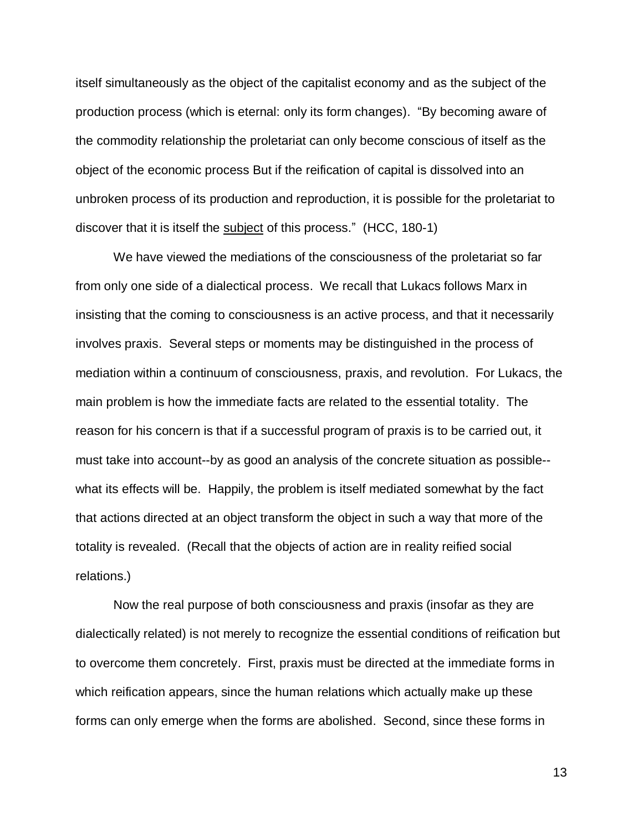itself simultaneously as the object of the capitalist economy and as the subject of the production process (which is eternal: only its form changes). "By becoming aware of the commodity relationship the proletariat can only become conscious of itself as the object of the economic process But if the reification of capital is dissolved into an unbroken process of its production and reproduction, it is possible for the proletariat to discover that it is itself the subject of this process." (HCC, 180-1)

We have viewed the mediations of the consciousness of the proletariat so far from only one side of a dialectical process. We recall that Lukacs follows Marx in insisting that the coming to consciousness is an active process, and that it necessarily involves praxis. Several steps or moments may be distinguished in the process of mediation within a continuum of consciousness, praxis, and revolution. For Lukacs, the main problem is how the immediate facts are related to the essential totality. The reason for his concern is that if a successful program of praxis is to be carried out, it must take into account--by as good an analysis of the concrete situation as possible- what its effects will be. Happily, the problem is itself mediated somewhat by the fact that actions directed at an object transform the object in such a way that more of the totality is revealed. (Recall that the objects of action are in reality reified social relations.)

Now the real purpose of both consciousness and praxis (insofar as they are dialectically related) is not merely to recognize the essential conditions of reification but to overcome them concretely. First, praxis must be directed at the immediate forms in which reification appears, since the human relations which actually make up these forms can only emerge when the forms are abolished. Second, since these forms in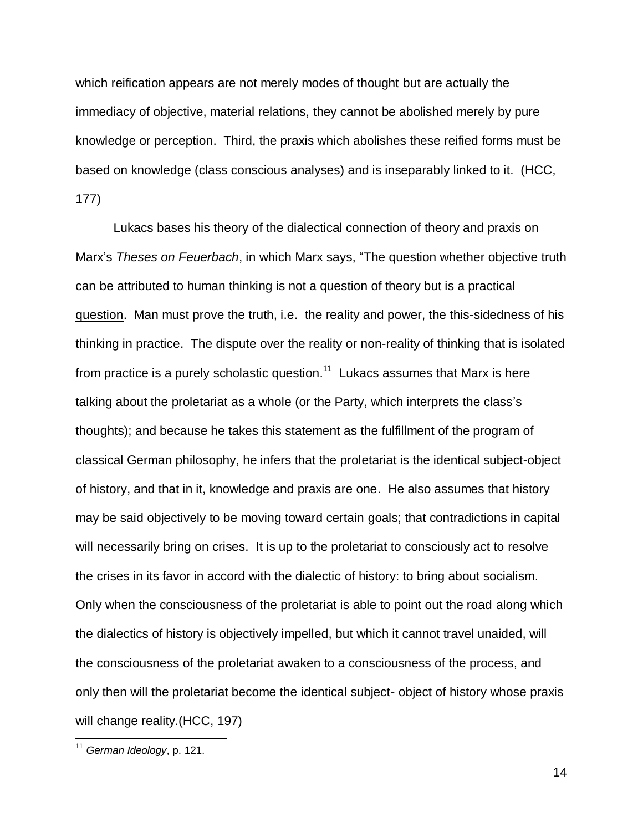which reification appears are not merely modes of thought but are actually the immediacy of objective, material relations, they cannot be abolished merely by pure knowledge or perception. Third, the praxis which abolishes these reified forms must be based on knowledge (class conscious analyses) and is inseparably linked to it. (HCC, 177)

Lukacs bases his theory of the dialectical connection of theory and praxis on Marx's *Theses on Feuerbach*, in which Marx says, "The question whether objective truth can be attributed to human thinking is not a question of theory but is a practical question. Man must prove the truth, i.e. the reality and power, the this-sidedness of his thinking in practice. The dispute over the reality or non-reality of thinking that is isolated from practice is a purely **scholastic** question.<sup>11</sup> Lukacs assumes that Marx is here talking about the proletariat as a whole (or the Party, which interprets the class's thoughts); and because he takes this statement as the fulfillment of the program of classical German philosophy, he infers that the proletariat is the identical subject-object of history, and that in it, knowledge and praxis are one. He also assumes that history may be said objectively to be moving toward certain goals; that contradictions in capital will necessarily bring on crises. It is up to the proletariat to consciously act to resolve the crises in its favor in accord with the dialectic of history: to bring about socialism. Only when the consciousness of the proletariat is able to point out the road along which the dialectics of history is objectively impelled, but which it cannot travel unaided, will the consciousness of the proletariat awaken to a consciousness of the process, and only then will the proletariat become the identical subject- object of history whose praxis will change reality.(HCC, 197)

 $\overline{\phantom{a}}$ 

<sup>11</sup> *German Ideology*, p. 121.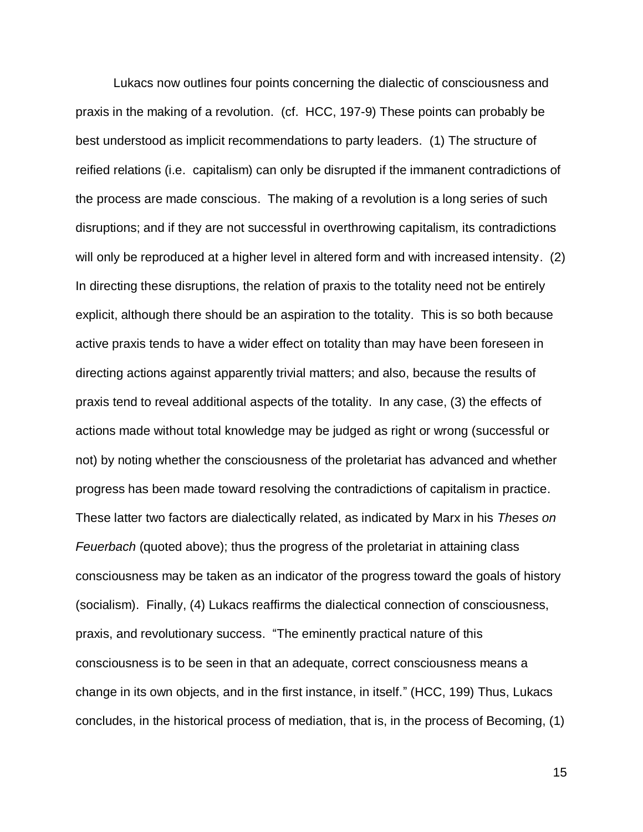Lukacs now outlines four points concerning the dialectic of consciousness and praxis in the making of a revolution. (cf. HCC, 197-9) These points can probably be best understood as implicit recommendations to party leaders. (1) The structure of reified relations (i.e. capitalism) can only be disrupted if the immanent contradictions of the process are made conscious. The making of a revolution is a long series of such disruptions; and if they are not successful in overthrowing capitalism, its contradictions will only be reproduced at a higher level in altered form and with increased intensity. (2) In directing these disruptions, the relation of praxis to the totality need not be entirely explicit, although there should be an aspiration to the totality. This is so both because active praxis tends to have a wider effect on totality than may have been foreseen in directing actions against apparently trivial matters; and also, because the results of praxis tend to reveal additional aspects of the totality. In any case, (3) the effects of actions made without total knowledge may be judged as right or wrong (successful or not) by noting whether the consciousness of the proletariat has advanced and whether progress has been made toward resolving the contradictions of capitalism in practice. These latter two factors are dialectically related, as indicated by Marx in his *Theses on Feuerbach* (quoted above); thus the progress of the proletariat in attaining class consciousness may be taken as an indicator of the progress toward the goals of history (socialism). Finally, (4) Lukacs reaffirms the dialectical connection of consciousness, praxis, and revolutionary success. "The eminently practical nature of this consciousness is to be seen in that an adequate, correct consciousness means a change in its own objects, and in the first instance, in itself." (HCC, 199) Thus, Lukacs concludes, in the historical process of mediation, that is, in the process of Becoming, (1)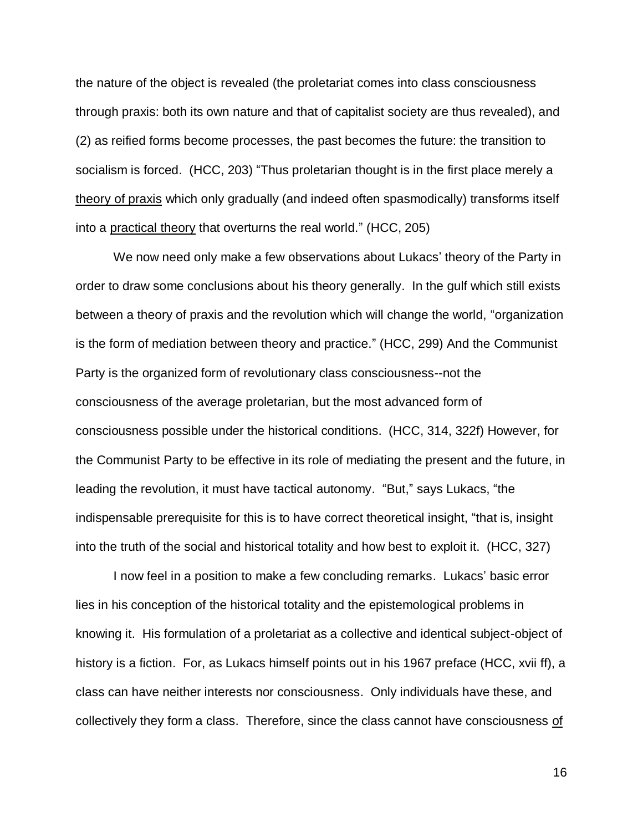the nature of the object is revealed (the proletariat comes into class consciousness through praxis: both its own nature and that of capitalist society are thus revealed), and (2) as reified forms become processes, the past becomes the future: the transition to socialism is forced. (HCC, 203) "Thus proletarian thought is in the first place merely a theory of praxis which only gradually (and indeed often spasmodically) transforms itself into a practical theory that overturns the real world." (HCC, 205)

We now need only make a few observations about Lukacs' theory of the Party in order to draw some conclusions about his theory generally. In the gulf which still exists between a theory of praxis and the revolution which will change the world, "organization is the form of mediation between theory and practice." (HCC, 299) And the Communist Party is the organized form of revolutionary class consciousness--not the consciousness of the average proletarian, but the most advanced form of consciousness possible under the historical conditions. (HCC, 314, 322f) However, for the Communist Party to be effective in its role of mediating the present and the future, in leading the revolution, it must have tactical autonomy. "But," says Lukacs, "the indispensable prerequisite for this is to have correct theoretical insight, "that is, insight into the truth of the social and historical totality and how best to exploit it. (HCC, 327)

I now feel in a position to make a few concluding remarks. Lukacs' basic error lies in his conception of the historical totality and the epistemological problems in knowing it. His formulation of a proletariat as a collective and identical subject-object of history is a fiction. For, as Lukacs himself points out in his 1967 preface (HCC, xvii ff), a class can have neither interests nor consciousness. Only individuals have these, and collectively they form a class. Therefore, since the class cannot have consciousness of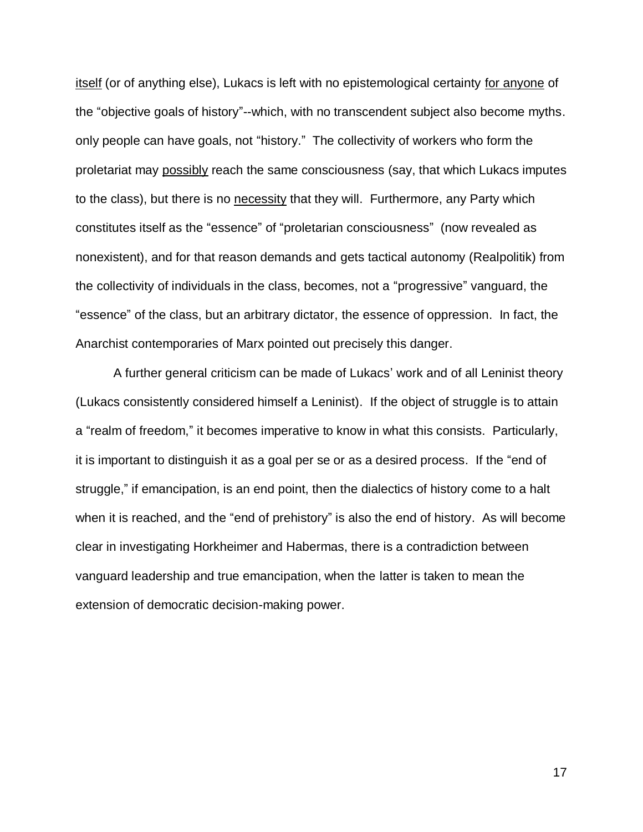itself (or of anything else), Lukacs is left with no epistemological certainty for anyone of the "objective goals of history"--which, with no transcendent subject also become myths. only people can have goals, not "history." The collectivity of workers who form the proletariat may possibly reach the same consciousness (say, that which Lukacs imputes to the class), but there is no necessity that they will. Furthermore, any Party which constitutes itself as the "essence" of "proletarian consciousness" (now revealed as nonexistent), and for that reason demands and gets tactical autonomy (Realpolitik) from the collectivity of individuals in the class, becomes, not a "progressive" vanguard, the "essence" of the class, but an arbitrary dictator, the essence of oppression. In fact, the Anarchist contemporaries of Marx pointed out precisely this danger.

A further general criticism can be made of Lukacs' work and of all Leninist theory (Lukacs consistently considered himself a Leninist). If the object of struggle is to attain a "realm of freedom," it becomes imperative to know in what this consists. Particularly, it is important to distinguish it as a goal per se or as a desired process. If the "end of struggle," if emancipation, is an end point, then the dialectics of history come to a halt when it is reached, and the "end of prehistory" is also the end of history. As will become clear in investigating Horkheimer and Habermas, there is a contradiction between vanguard leadership and true emancipation, when the latter is taken to mean the extension of democratic decision-making power.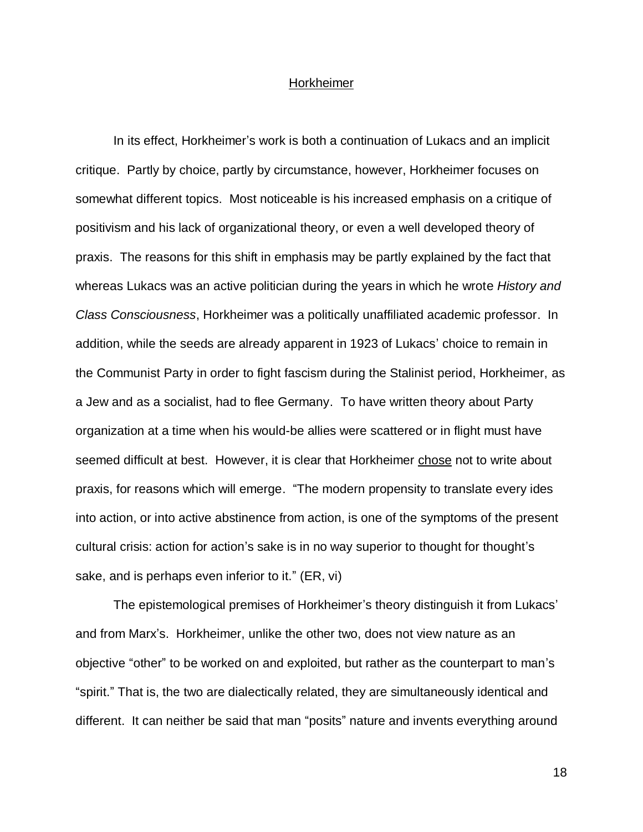### Horkheimer

In its effect, Horkheimer's work is both a continuation of Lukacs and an implicit critique. Partly by choice, partly by circumstance, however, Horkheimer focuses on somewhat different topics. Most noticeable is his increased emphasis on a critique of positivism and his lack of organizational theory, or even a well developed theory of praxis. The reasons for this shift in emphasis may be partly explained by the fact that whereas Lukacs was an active politician during the years in which he wrote *History and Class Consciousness*, Horkheimer was a politically unaffiliated academic professor. In addition, while the seeds are already apparent in 1923 of Lukacs' choice to remain in the Communist Party in order to fight fascism during the Stalinist period, Horkheimer, as a Jew and as a socialist, had to flee Germany. To have written theory about Party organization at a time when his would-be allies were scattered or in flight must have seemed difficult at best. However, it is clear that Horkheimer chose not to write about praxis, for reasons which will emerge. "The modern propensity to translate every ides into action, or into active abstinence from action, is one of the symptoms of the present cultural crisis: action for action's sake is in no way superior to thought for thought's sake, and is perhaps even inferior to it." (ER, vi)

The epistemological premises of Horkheimer's theory distinguish it from Lukacs' and from Marx's. Horkheimer, unlike the other two, does not view nature as an objective "other" to be worked on and exploited, but rather as the counterpart to man's "spirit." That is, the two are dialectically related, they are simultaneously identical and different. It can neither be said that man "posits" nature and invents everything around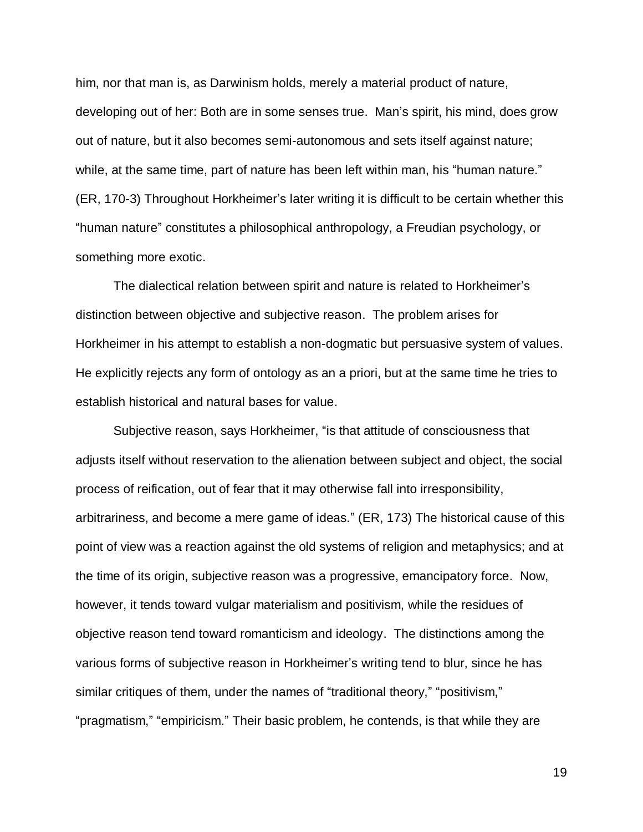him, nor that man is, as Darwinism holds, merely a material product of nature, developing out of her: Both are in some senses true. Man's spirit, his mind, does grow out of nature, but it also becomes semi-autonomous and sets itself against nature; while, at the same time, part of nature has been left within man, his "human nature." (ER, 170-3) Throughout Horkheimer's later writing it is difficult to be certain whether this "human nature" constitutes a philosophical anthropology, a Freudian psychology, or something more exotic.

The dialectical relation between spirit and nature is related to Horkheimer's distinction between objective and subjective reason. The problem arises for Horkheimer in his attempt to establish a non-dogmatic but persuasive system of values. He explicitly rejects any form of ontology as an a priori, but at the same time he tries to establish historical and natural bases for value.

Subjective reason, says Horkheimer, "is that attitude of consciousness that adjusts itself without reservation to the alienation between subject and object, the social process of reification, out of fear that it may otherwise fall into irresponsibility, arbitrariness, and become a mere game of ideas." (ER, 173) The historical cause of this point of view was a reaction against the old systems of religion and metaphysics; and at the time of its origin, subjective reason was a progressive, emancipatory force. Now, however, it tends toward vulgar materialism and positivism, while the residues of objective reason tend toward romanticism and ideology. The distinctions among the various forms of subjective reason in Horkheimer's writing tend to blur, since he has similar critiques of them, under the names of "traditional theory," "positivism," "pragmatism," "empiricism." Their basic problem, he contends, is that while they are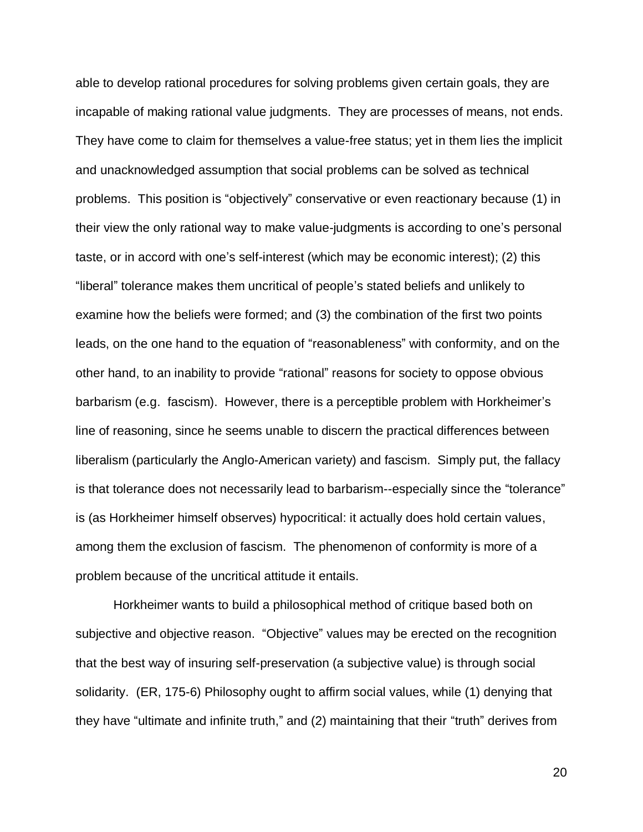able to develop rational procedures for solving problems given certain goals, they are incapable of making rational value judgments. They are processes of means, not ends. They have come to claim for themselves a value-free status; yet in them lies the implicit and unacknowledged assumption that social problems can be solved as technical problems. This position is "objectively" conservative or even reactionary because (1) in their view the only rational way to make value-judgments is according to one's personal taste, or in accord with one's self-interest (which may be economic interest); (2) this "liberal" tolerance makes them uncritical of people's stated beliefs and unlikely to examine how the beliefs were formed; and (3) the combination of the first two points leads, on the one hand to the equation of "reasonableness" with conformity, and on the other hand, to an inability to provide "rational" reasons for society to oppose obvious barbarism (e.g. fascism). However, there is a perceptible problem with Horkheimer's line of reasoning, since he seems unable to discern the practical differences between liberalism (particularly the Anglo-American variety) and fascism. Simply put, the fallacy is that tolerance does not necessarily lead to barbarism--especially since the "tolerance" is (as Horkheimer himself observes) hypocritical: it actually does hold certain values, among them the exclusion of fascism. The phenomenon of conformity is more of a problem because of the uncritical attitude it entails.

Horkheimer wants to build a philosophical method of critique based both on subjective and objective reason. "Objective" values may be erected on the recognition that the best way of insuring self-preservation (a subjective value) is through social solidarity. (ER, 175-6) Philosophy ought to affirm social values, while (1) denying that they have "ultimate and infinite truth," and (2) maintaining that their "truth" derives from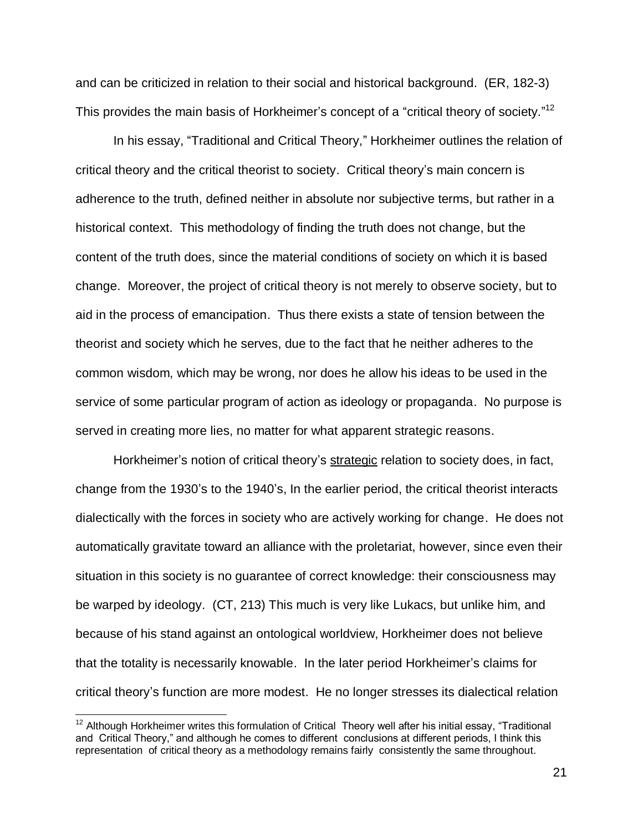and can be criticized in relation to their social and historical background. (ER, 182-3) This provides the main basis of Horkheimer's concept of a "critical theory of society."<sup>12</sup>

In his essay, "Traditional and Critical Theory," Horkheimer outlines the relation of critical theory and the critical theorist to society. Critical theory's main concern is adherence to the truth, defined neither in absolute nor subjective terms, but rather in a historical context. This methodology of finding the truth does not change, but the content of the truth does, since the material conditions of society on which it is based change. Moreover, the project of critical theory is not merely to observe society, but to aid in the process of emancipation. Thus there exists a state of tension between the theorist and society which he serves, due to the fact that he neither adheres to the common wisdom, which may be wrong, nor does he allow his ideas to be used in the service of some particular program of action as ideology or propaganda. No purpose is served in creating more lies, no matter for what apparent strategic reasons.

Horkheimer's notion of critical theory's strategic relation to society does, in fact, change from the 1930's to the 1940's, In the earlier period, the critical theorist interacts dialectically with the forces in society who are actively working for change. He does not automatically gravitate toward an alliance with the proletariat, however, since even their situation in this society is no guarantee of correct knowledge: their consciousness may be warped by ideology. (CT, 213) This much is very like Lukacs, but unlike him, and because of his stand against an ontological worldview, Horkheimer does not believe that the totality is necessarily knowable. In the later period Horkheimer's claims for critical theory's function are more modest. He no longer stresses its dialectical relation

 $\overline{\phantom{a}}$ 

 $12$  Although Horkheimer writes this formulation of Critical Theory well after his initial essay, "Traditional and Critical Theory," and although he comes to different conclusions at different periods, I think this representation of critical theory as a methodology remains fairly consistently the same throughout.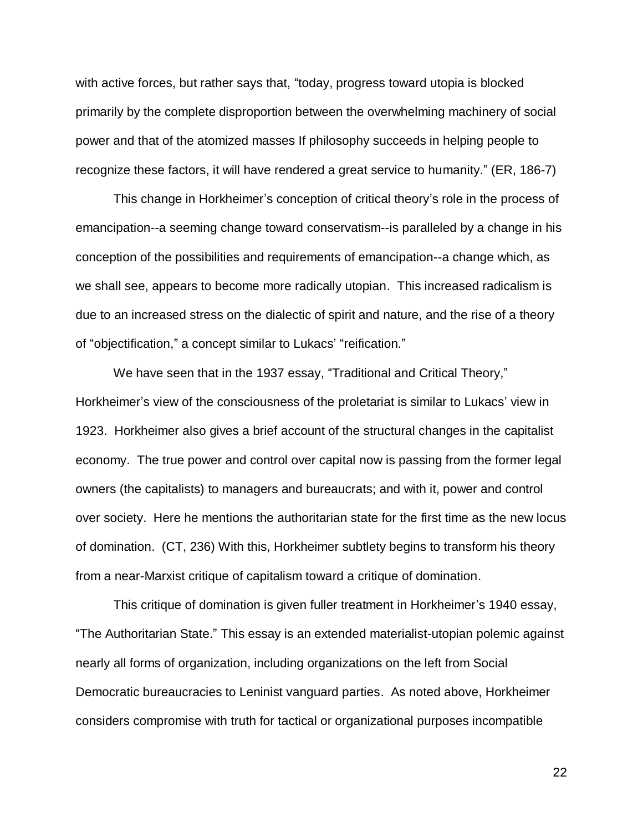with active forces, but rather says that, "today, progress toward utopia is blocked primarily by the complete disproportion between the overwhelming machinery of social power and that of the atomized masses If philosophy succeeds in helping people to recognize these factors, it will have rendered a great service to humanity." (ER, 186-7)

This change in Horkheimer's conception of critical theory's role in the process of emancipation--a seeming change toward conservatism--is paralleled by a change in his conception of the possibilities and requirements of emancipation--a change which, as we shall see, appears to become more radically utopian. This increased radicalism is due to an increased stress on the dialectic of spirit and nature, and the rise of a theory of "objectification," a concept similar to Lukacs' "reification."

We have seen that in the 1937 essay, "Traditional and Critical Theory," Horkheimer's view of the consciousness of the proletariat is similar to Lukacs' view in 1923. Horkheimer also gives a brief account of the structural changes in the capitalist economy. The true power and control over capital now is passing from the former legal owners (the capitalists) to managers and bureaucrats; and with it, power and control over society. Here he mentions the authoritarian state for the first time as the new locus of domination. (CT, 236) With this, Horkheimer subtlety begins to transform his theory from a near-Marxist critique of capitalism toward a critique of domination.

This critique of domination is given fuller treatment in Horkheimer's 1940 essay, "The Authoritarian State." This essay is an extended materialist-utopian polemic against nearly all forms of organization, including organizations on the left from Social Democratic bureaucracies to Leninist vanguard parties. As noted above, Horkheimer considers compromise with truth for tactical or organizational purposes incompatible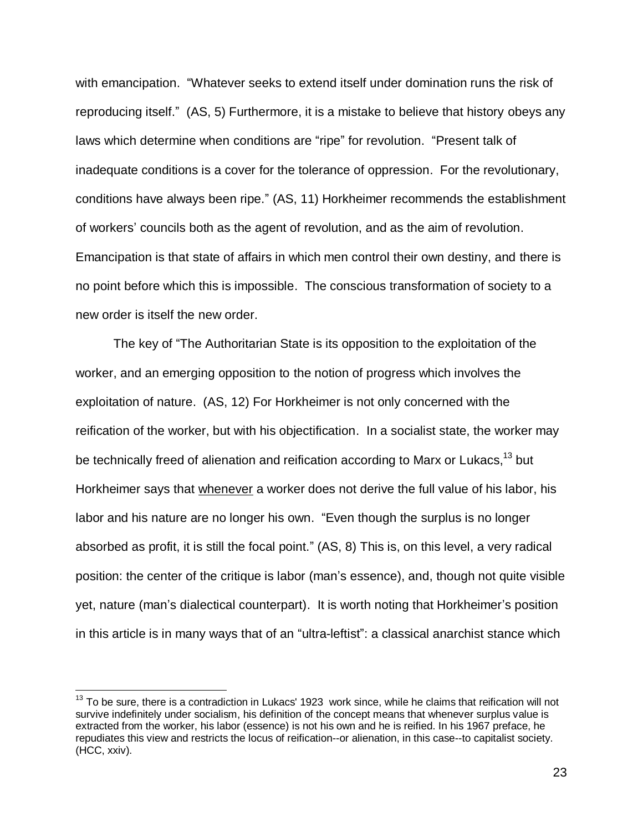with emancipation. "Whatever seeks to extend itself under domination runs the risk of reproducing itself." (AS, 5) Furthermore, it is a mistake to believe that history obeys any laws which determine when conditions are "ripe" for revolution. "Present talk of inadequate conditions is a cover for the tolerance of oppression. For the revolutionary, conditions have always been ripe." (AS, 11) Horkheimer recommends the establishment of workers' councils both as the agent of revolution, and as the aim of revolution. Emancipation is that state of affairs in which men control their own destiny, and there is no point before which this is impossible. The conscious transformation of society to a new order is itself the new order.

The key of "The Authoritarian State is its opposition to the exploitation of the worker, and an emerging opposition to the notion of progress which involves the exploitation of nature. (AS, 12) For Horkheimer is not only concerned with the reification of the worker, but with his objectification. In a socialist state, the worker may be technically freed of alienation and reification according to Marx or Lukacs,<sup>13</sup> but Horkheimer says that whenever a worker does not derive the full value of his labor, his labor and his nature are no longer his own. "Even though the surplus is no longer absorbed as profit, it is still the focal point." (AS, 8) This is, on this level, a very radical position: the center of the critique is labor (man's essence), and, though not quite visible yet, nature (man's dialectical counterpart). It is worth noting that Horkheimer's position in this article is in many ways that of an "ultra-leftist": a classical anarchist stance which

 $\overline{a}$ 

 $13$  To be sure, there is a contradiction in Lukacs' 1923 work since, while he claims that reification will not survive indefinitely under socialism, his definition of the concept means that whenever surplus value is extracted from the worker, his labor (essence) is not his own and he is reified. In his 1967 preface, he repudiates this view and restricts the locus of reification--or alienation, in this case--to capitalist society. (HCC, xxiv).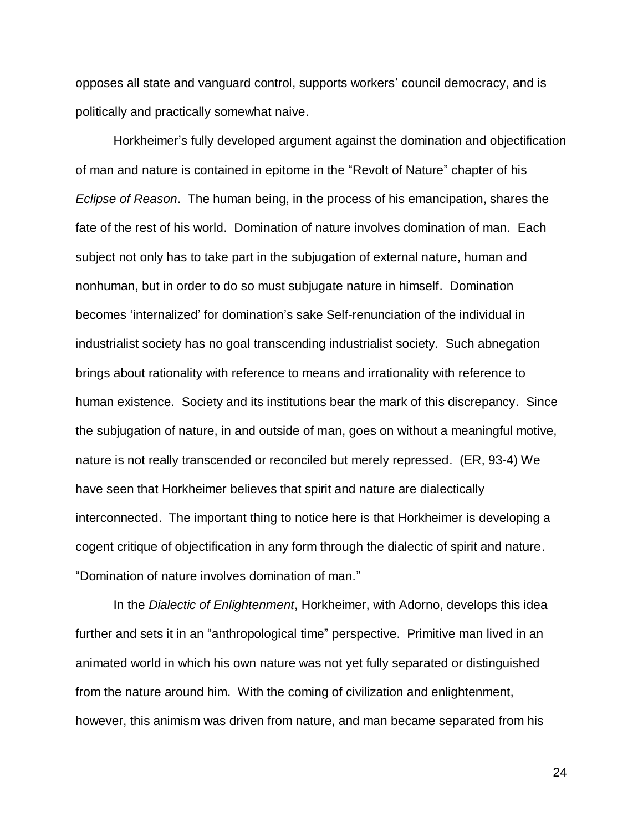opposes all state and vanguard control, supports workers' council democracy, and is politically and practically somewhat naive.

Horkheimer's fully developed argument against the domination and objectification of man and nature is contained in epitome in the "Revolt of Nature" chapter of his *Eclipse of Reason*. The human being, in the process of his emancipation, shares the fate of the rest of his world. Domination of nature involves domination of man. Each subject not only has to take part in the subjugation of external nature, human and nonhuman, but in order to do so must subjugate nature in himself. Domination becomes 'internalized' for domination's sake Self-renunciation of the individual in industrialist society has no goal transcending industrialist society. Such abnegation brings about rationality with reference to means and irrationality with reference to human existence. Society and its institutions bear the mark of this discrepancy. Since the subjugation of nature, in and outside of man, goes on without a meaningful motive, nature is not really transcended or reconciled but merely repressed. (ER, 93-4) We have seen that Horkheimer believes that spirit and nature are dialectically interconnected. The important thing to notice here is that Horkheimer is developing a cogent critique of objectification in any form through the dialectic of spirit and nature. "Domination of nature involves domination of man."

In the *Dialectic of Enlightenment*, Horkheimer, with Adorno, develops this idea further and sets it in an "anthropological time" perspective. Primitive man lived in an animated world in which his own nature was not yet fully separated or distinguished from the nature around him. With the coming of civilization and enlightenment, however, this animism was driven from nature, and man became separated from his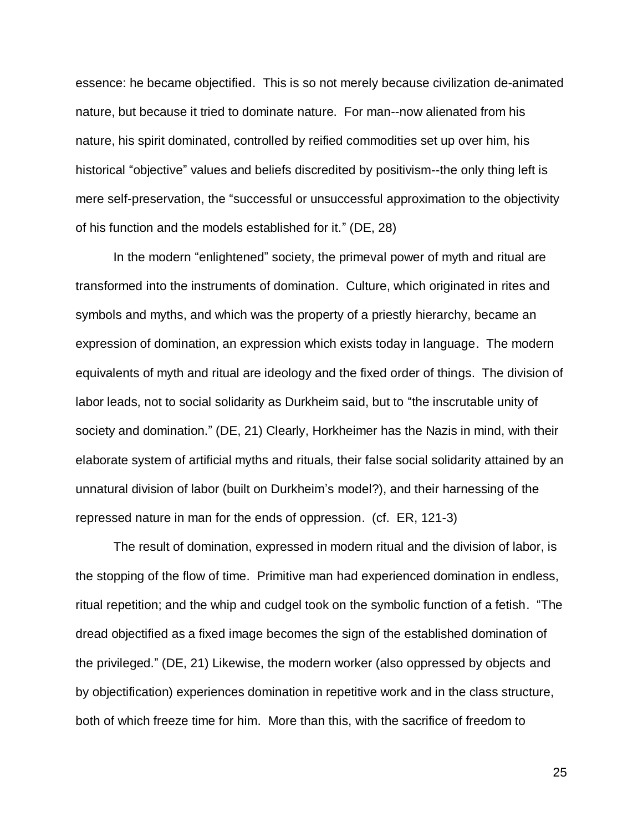essence: he became objectified. This is so not merely because civilization de-animated nature, but because it tried to dominate nature. For man--now alienated from his nature, his spirit dominated, controlled by reified commodities set up over him, his historical "objective" values and beliefs discredited by positivism--the only thing left is mere self-preservation, the "successful or unsuccessful approximation to the objectivity of his function and the models established for it." (DE, 28)

In the modern "enlightened" society, the primeval power of myth and ritual are transformed into the instruments of domination. Culture, which originated in rites and symbols and myths, and which was the property of a priestly hierarchy, became an expression of domination, an expression which exists today in language. The modern equivalents of myth and ritual are ideology and the fixed order of things. The division of labor leads, not to social solidarity as Durkheim said, but to "the inscrutable unity of society and domination." (DE, 21) Clearly, Horkheimer has the Nazis in mind, with their elaborate system of artificial myths and rituals, their false social solidarity attained by an unnatural division of labor (built on Durkheim's model?), and their harnessing of the repressed nature in man for the ends of oppression. (cf. ER, 121-3)

The result of domination, expressed in modern ritual and the division of labor, is the stopping of the flow of time. Primitive man had experienced domination in endless, ritual repetition; and the whip and cudgel took on the symbolic function of a fetish. "The dread objectified as a fixed image becomes the sign of the established domination of the privileged." (DE, 21) Likewise, the modern worker (also oppressed by objects and by objectification) experiences domination in repetitive work and in the class structure, both of which freeze time for him. More than this, with the sacrifice of freedom to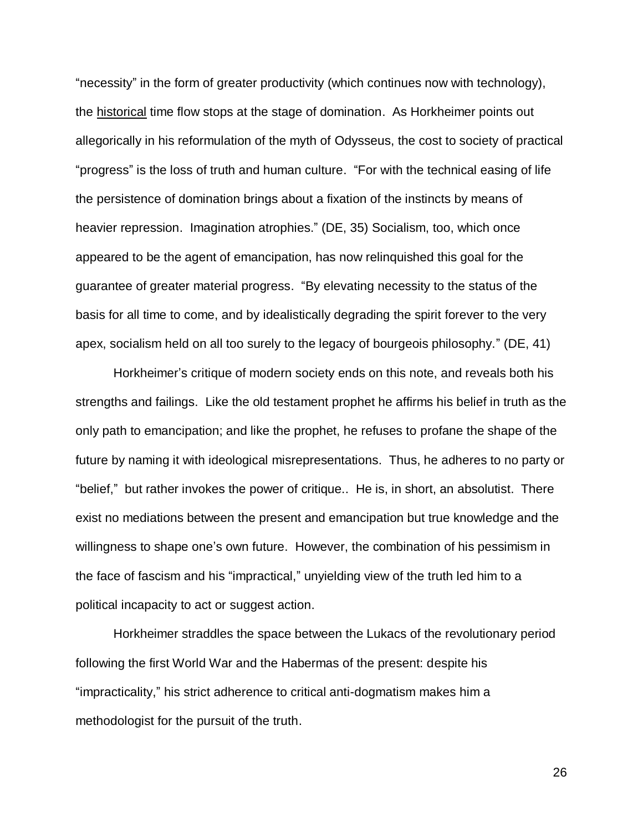"necessity" in the form of greater productivity (which continues now with technology), the historical time flow stops at the stage of domination. As Horkheimer points out allegorically in his reformulation of the myth of Odysseus, the cost to society of practical "progress" is the loss of truth and human culture. "For with the technical easing of life the persistence of domination brings about a fixation of the instincts by means of heavier repression. Imagination atrophies." (DE, 35) Socialism, too, which once appeared to be the agent of emancipation, has now relinquished this goal for the guarantee of greater material progress. "By elevating necessity to the status of the basis for all time to come, and by idealistically degrading the spirit forever to the very apex, socialism held on all too surely to the legacy of bourgeois philosophy." (DE, 41)

Horkheimer's critique of modern society ends on this note, and reveals both his strengths and failings. Like the old testament prophet he affirms his belief in truth as the only path to emancipation; and like the prophet, he refuses to profane the shape of the future by naming it with ideological misrepresentations. Thus, he adheres to no party or "belief," but rather invokes the power of critique.. He is, in short, an absolutist. There exist no mediations between the present and emancipation but true knowledge and the willingness to shape one's own future. However, the combination of his pessimism in the face of fascism and his "impractical," unyielding view of the truth led him to a political incapacity to act or suggest action.

Horkheimer straddles the space between the Lukacs of the revolutionary period following the first World War and the Habermas of the present: despite his "impracticality," his strict adherence to critical anti-dogmatism makes him a methodologist for the pursuit of the truth.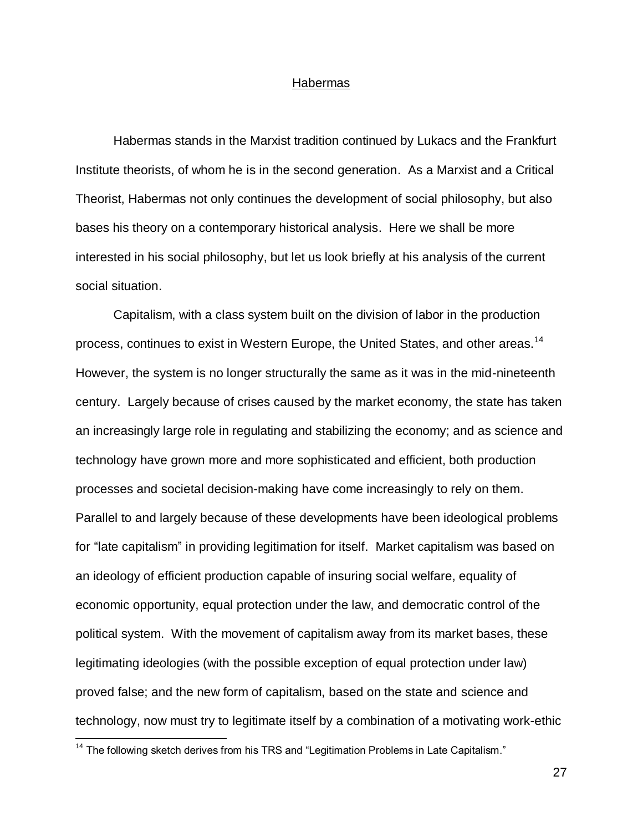#### Habermas

Habermas stands in the Marxist tradition continued by Lukacs and the Frankfurt Institute theorists, of whom he is in the second generation. As a Marxist and a Critical Theorist, Habermas not only continues the development of social philosophy, but also bases his theory on a contemporary historical analysis. Here we shall be more interested in his social philosophy, but let us look briefly at his analysis of the current social situation.

Capitalism, with a class system built on the division of labor in the production process, continues to exist in Western Europe, the United States, and other areas.<sup>14</sup> However, the system is no longer structurally the same as it was in the mid-nineteenth century. Largely because of crises caused by the market economy, the state has taken an increasingly large role in regulating and stabilizing the economy; and as science and technology have grown more and more sophisticated and efficient, both production processes and societal decision-making have come increasingly to rely on them. Parallel to and largely because of these developments have been ideological problems for "late capitalism" in providing legitimation for itself. Market capitalism was based on an ideology of efficient production capable of insuring social welfare, equality of economic opportunity, equal protection under the law, and democratic control of the political system. With the movement of capitalism away from its market bases, these legitimating ideologies (with the possible exception of equal protection under law) proved false; and the new form of capitalism, based on the state and science and technology, now must try to legitimate itself by a combination of a motivating work-ethic

 $\overline{a}$ 

 $14$  The following sketch derives from his TRS and "Legitimation Problems in Late Capitalism."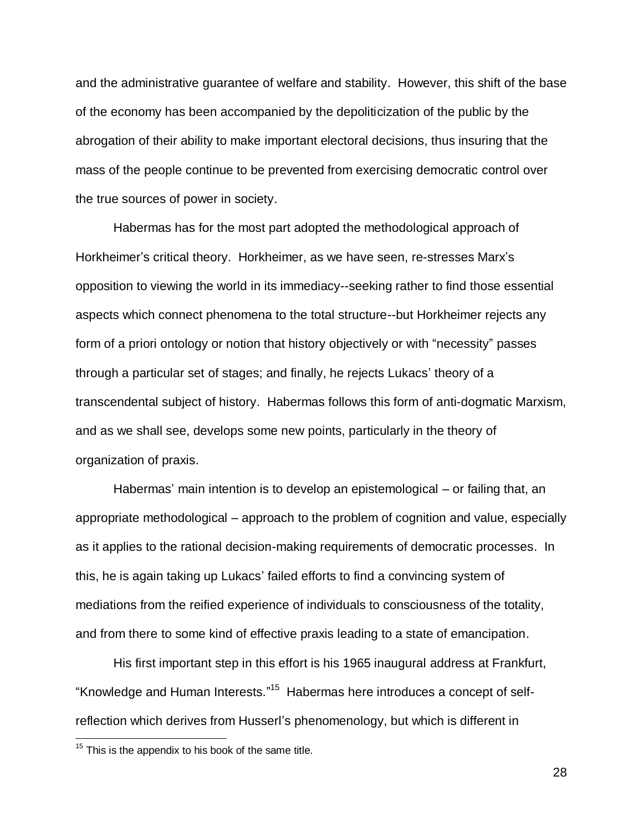and the administrative guarantee of welfare and stability. However, this shift of the base of the economy has been accompanied by the depoliticization of the public by the abrogation of their ability to make important electoral decisions, thus insuring that the mass of the people continue to be prevented from exercising democratic control over the true sources of power in society.

Habermas has for the most part adopted the methodological approach of Horkheimer's critical theory. Horkheimer, as we have seen, re-stresses Marx's opposition to viewing the world in its immediacy--seeking rather to find those essential aspects which connect phenomena to the total structure--but Horkheimer rejects any form of a priori ontology or notion that history objectively or with "necessity" passes through a particular set of stages; and finally, he rejects Lukacs' theory of a transcendental subject of history. Habermas follows this form of anti-dogmatic Marxism, and as we shall see, develops some new points, particularly in the theory of organization of praxis.

Habermas' main intention is to develop an epistemological – or failing that, an appropriate methodological – approach to the problem of cognition and value, especially as it applies to the rational decision-making requirements of democratic processes. In this, he is again taking up Lukacs' failed efforts to find a convincing system of mediations from the reified experience of individuals to consciousness of the totality, and from there to some kind of effective praxis leading to a state of emancipation.

His first important step in this effort is his 1965 inaugural address at Frankfurt, "Knowledge and Human Interests."<sup>15</sup> Habermas here introduces a concept of selfreflection which derives from Husserl's phenomenology, but which is different in

 $\overline{a}$ 

 $15$  This is the appendix to his book of the same title.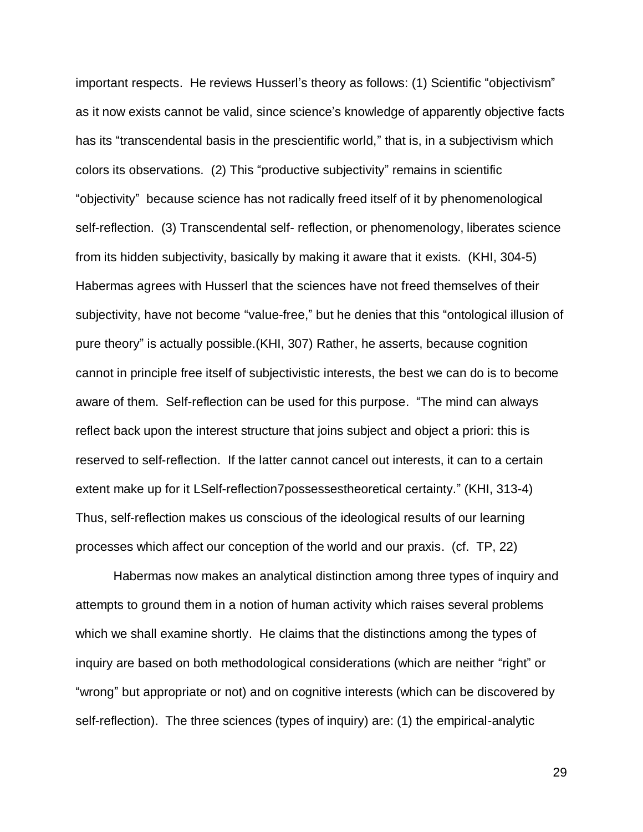important respects. He reviews Husserl's theory as follows: (1) Scientific "objectivism" as it now exists cannot be valid, since science's knowledge of apparently objective facts has its "transcendental basis in the prescientific world," that is, in a subjectivism which colors its observations. (2) This "productive subjectivity" remains in scientific "objectivity" because science has not radically freed itself of it by phenomenological self-reflection. (3) Transcendental self- reflection, or phenomenology, liberates science from its hidden subjectivity, basically by making it aware that it exists. (KHI, 304-5) Habermas agrees with Husserl that the sciences have not freed themselves of their subjectivity, have not become "value-free," but he denies that this "ontological illusion of pure theory" is actually possible.(KHI, 307) Rather, he asserts, because cognition cannot in principle free itself of subjectivistic interests, the best we can do is to become aware of them. Self-reflection can be used for this purpose. "The mind can always reflect back upon the interest structure that joins subject and object a priori: this is reserved to self-reflection. If the latter cannot cancel out interests, it can to a certain extent make up for it LSelf-reflection7possessestheoretical certainty." (KHI, 313-4) Thus, self-reflection makes us conscious of the ideological results of our learning processes which affect our conception of the world and our praxis. (cf. TP, 22)

Habermas now makes an analytical distinction among three types of inquiry and attempts to ground them in a notion of human activity which raises several problems which we shall examine shortly. He claims that the distinctions among the types of inquiry are based on both methodological considerations (which are neither "right" or "wrong" but appropriate or not) and on cognitive interests (which can be discovered by self-reflection). The three sciences (types of inquiry) are: (1) the empirical-analytic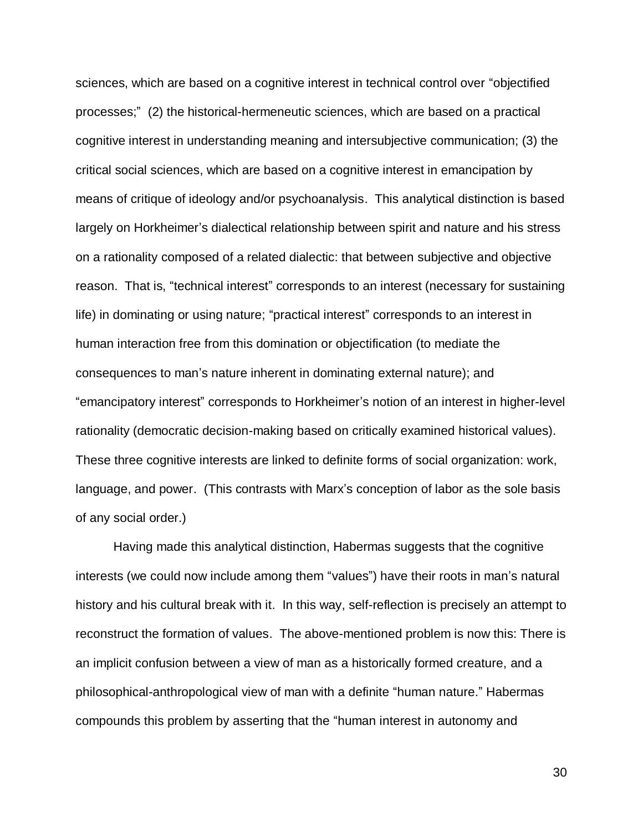sciences, which are based on a cognitive interest in technical control over "objectified processes;" (2) the historical-hermeneutic sciences, which are based on a practical cognitive interest in understanding meaning and intersubjective communication; (3) the critical social sciences, which are based on a cognitive interest in emancipation by means of critique of ideology and/or psychoanalysis. This analytical distinction is based largely on Horkheimer's dialectical relationship between spirit and nature and his stress on a rationality composed of a related dialectic: that between subjective and objective reason. That is, "technical interest" corresponds to an interest (necessary for sustaining life) in dominating or using nature; "practical interest" corresponds to an interest in human interaction free from this domination or objectification (to mediate the consequences to man's nature inherent in dominating external nature); and "emancipatory interest" corresponds to Horkheimer's notion of an interest in higher-level rationality (democratic decision-making based on critically examined historical values). These three cognitive interests are linked to definite forms of social organization: work, language, and power. (This contrasts with Marx's conception of labor as the sole basis of any social order.)

Having made this analytical distinction, Habermas suggests that the cognitive interests (we could now include among them "values") have their roots in man's natural history and his cultural break with it. In this way, self-reflection is precisely an attempt to reconstruct the formation of values. The above-mentioned problem is now this: There is an implicit confusion between a view of man as a historically formed creature, and a philosophical-anthropological view of man with a definite "human nature." Habermas compounds this problem by asserting that the "human interest in autonomy and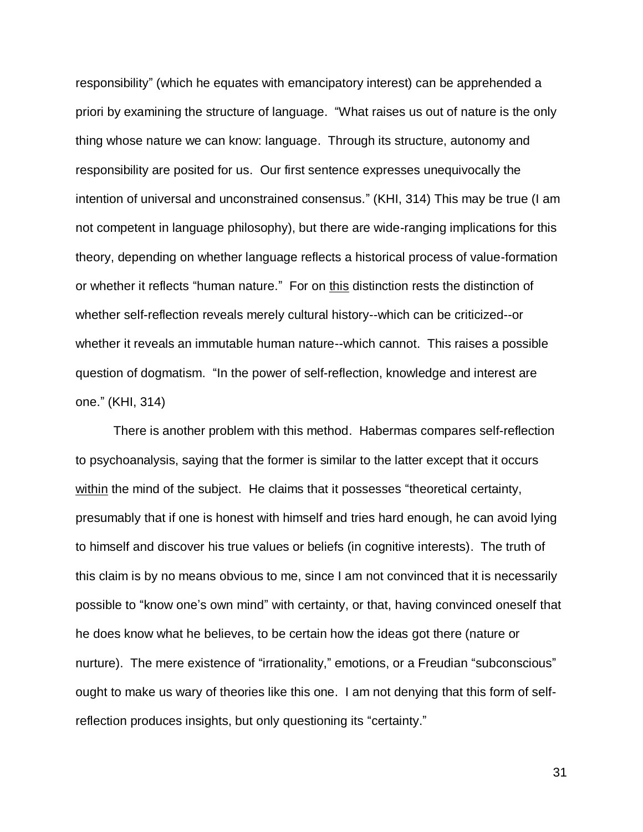responsibility" (which he equates with emancipatory interest) can be apprehended a priori by examining the structure of language. "What raises us out of nature is the only thing whose nature we can know: language. Through its structure, autonomy and responsibility are posited for us. Our first sentence expresses unequivocally the intention of universal and unconstrained consensus." (KHI, 314) This may be true (I am not competent in language philosophy), but there are wide-ranging implications for this theory, depending on whether language reflects a historical process of value-formation or whether it reflects "human nature." For on this distinction rests the distinction of whether self-reflection reveals merely cultural history--which can be criticized--or whether it reveals an immutable human nature--which cannot. This raises a possible question of dogmatism. "In the power of self-reflection, knowledge and interest are one." (KHI, 314)

There is another problem with this method. Habermas compares self-reflection to psychoanalysis, saying that the former is similar to the latter except that it occurs within the mind of the subject. He claims that it possesses "theoretical certainty, presumably that if one is honest with himself and tries hard enough, he can avoid lying to himself and discover his true values or beliefs (in cognitive interests). The truth of this claim is by no means obvious to me, since I am not convinced that it is necessarily possible to "know one's own mind" with certainty, or that, having convinced oneself that he does know what he believes, to be certain how the ideas got there (nature or nurture). The mere existence of "irrationality," emotions, or a Freudian "subconscious" ought to make us wary of theories like this one. I am not denying that this form of selfreflection produces insights, but only questioning its "certainty."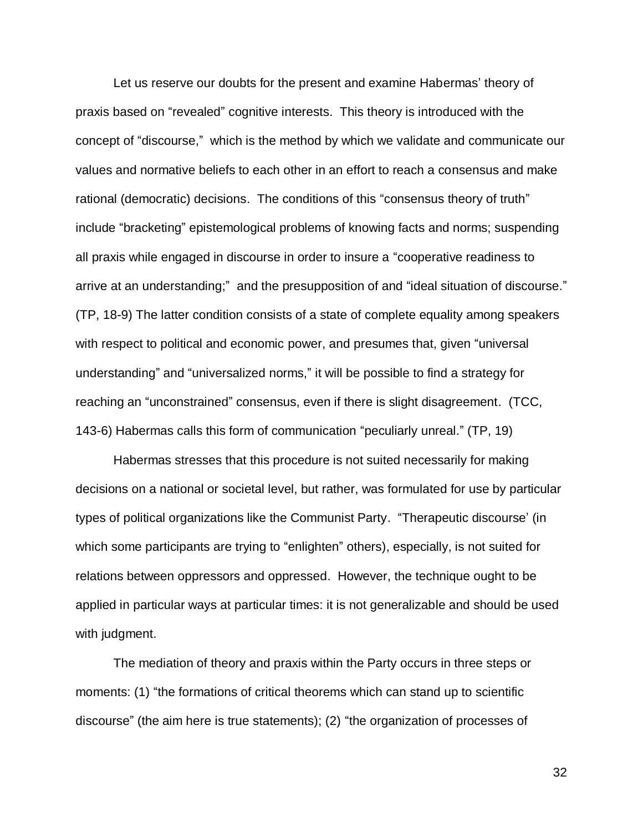Let us reserve our doubts for the present and examine Habermas' theory of praxis based on "revealed" cognitive interests. This theory is introduced with the concept of "discourse," which is the method by which we validate and communicate our values and normative beliefs to each other in an effort to reach a consensus and make rational (democratic) decisions. The conditions of this "consensus theory of truth" include "bracketing" epistemological problems of knowing facts and norms; suspending all praxis while engaged in discourse in order to insure a "cooperative readiness to arrive at an understanding;" and the presupposition of and "ideal situation of discourse." (TP, 18-9) The latter condition consists of a state of complete equality among speakers with respect to political and economic power, and presumes that, given "universal understanding" and "universalized norms," it will be possible to find a strategy for reaching an "unconstrained" consensus, even if there is slight disagreement. (TCC, 143-6) Habermas calls this form of communication "peculiarly unreal." (TP, 19)

Habermas stresses that this procedure is not suited necessarily for making decisions on a national or societal level, but rather, was formulated for use by particular types of political organizations like the Communist Party. "Therapeutic discourse' (in which some participants are trying to "enlighten" others), especially, is not suited for relations between oppressors and oppressed. However, the technique ought to be applied in particular ways at particular times: it is not generalizable and should be used with judgment.

The mediation of theory and praxis within the Party occurs in three steps or moments: (1) "the formations of critical theorems which can stand up to scientific discourse" (the aim here is true statements); (2) "the organization of processes of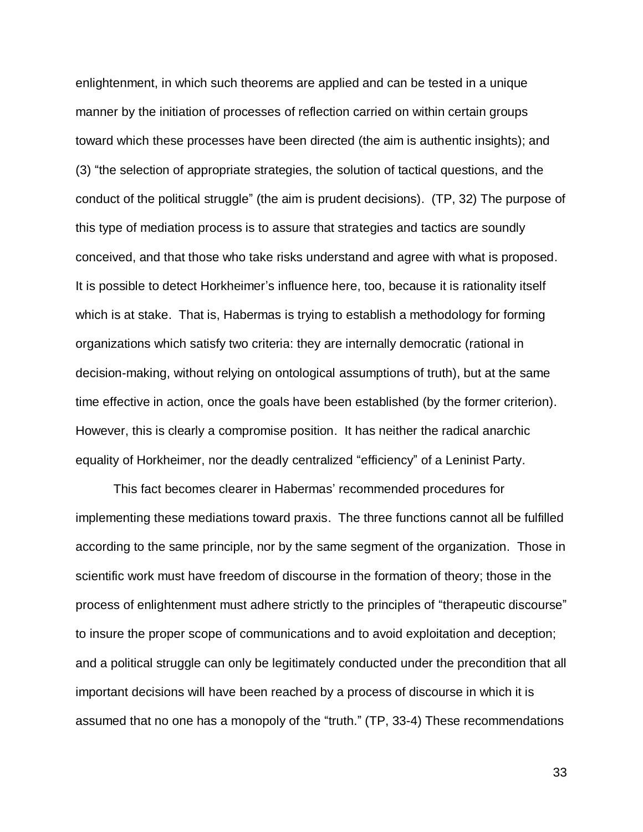enlightenment, in which such theorems are applied and can be tested in a unique manner by the initiation of processes of reflection carried on within certain groups toward which these processes have been directed (the aim is authentic insights); and (3) "the selection of appropriate strategies, the solution of tactical questions, and the conduct of the political struggle" (the aim is prudent decisions). (TP, 32) The purpose of this type of mediation process is to assure that strategies and tactics are soundly conceived, and that those who take risks understand and agree with what is proposed. It is possible to detect Horkheimer's influence here, too, because it is rationality itself which is at stake. That is, Habermas is trying to establish a methodology for forming organizations which satisfy two criteria: they are internally democratic (rational in decision-making, without relying on ontological assumptions of truth), but at the same time effective in action, once the goals have been established (by the former criterion). However, this is clearly a compromise position. It has neither the radical anarchic equality of Horkheimer, nor the deadly centralized "efficiency" of a Leninist Party.

This fact becomes clearer in Habermas' recommended procedures for implementing these mediations toward praxis. The three functions cannot all be fulfilled according to the same principle, nor by the same segment of the organization. Those in scientific work must have freedom of discourse in the formation of theory; those in the process of enlightenment must adhere strictly to the principles of "therapeutic discourse" to insure the proper scope of communications and to avoid exploitation and deception; and a political struggle can only be legitimately conducted under the precondition that all important decisions will have been reached by a process of discourse in which it is assumed that no one has a monopoly of the "truth." (TP, 33-4) These recommendations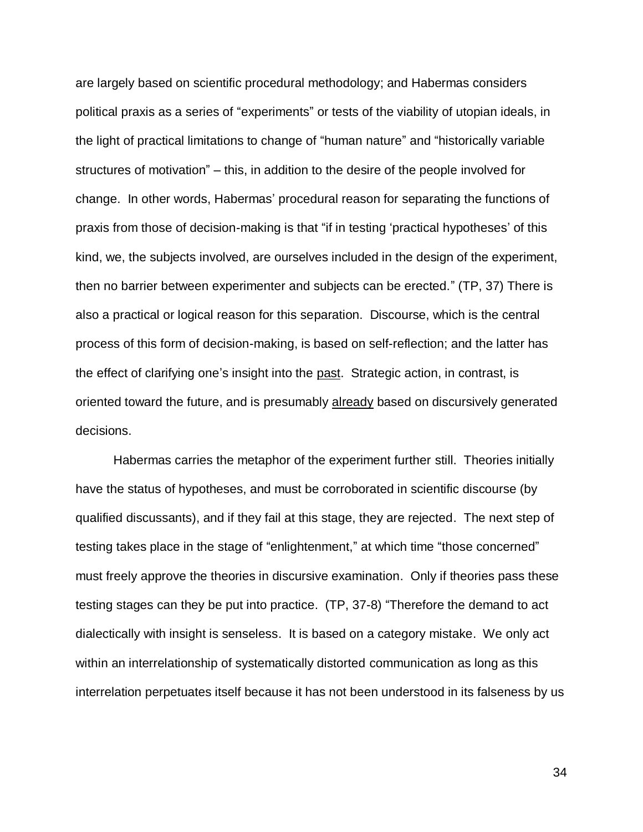are largely based on scientific procedural methodology; and Habermas considers political praxis as a series of "experiments" or tests of the viability of utopian ideals, in the light of practical limitations to change of "human nature" and "historically variable structures of motivation" – this, in addition to the desire of the people involved for change. In other words, Habermas' procedural reason for separating the functions of praxis from those of decision-making is that "if in testing 'practical hypotheses' of this kind, we, the subjects involved, are ourselves included in the design of the experiment, then no barrier between experimenter and subjects can be erected." (TP, 37) There is also a practical or logical reason for this separation. Discourse, which is the central process of this form of decision-making, is based on self-reflection; and the latter has the effect of clarifying one's insight into the past. Strategic action, in contrast, is oriented toward the future, and is presumably already based on discursively generated decisions.

Habermas carries the metaphor of the experiment further still. Theories initially have the status of hypotheses, and must be corroborated in scientific discourse (by qualified discussants), and if they fail at this stage, they are rejected. The next step of testing takes place in the stage of "enlightenment," at which time "those concerned" must freely approve the theories in discursive examination. Only if theories pass these testing stages can they be put into practice. (TP, 37-8) "Therefore the demand to act dialectically with insight is senseless. It is based on a category mistake. We only act within an interrelationship of systematically distorted communication as long as this interrelation perpetuates itself because it has not been understood in its falseness by us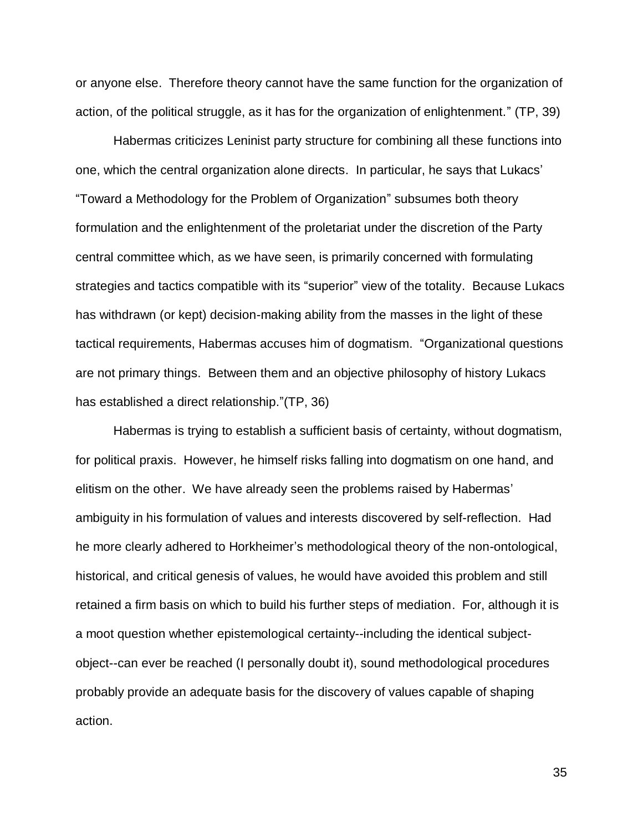or anyone else. Therefore theory cannot have the same function for the organization of action, of the political struggle, as it has for the organization of enlightenment." (TP, 39)

Habermas criticizes Leninist party structure for combining all these functions into one, which the central organization alone directs. In particular, he says that Lukacs' "Toward a Methodology for the Problem of Organization" subsumes both theory formulation and the enlightenment of the proletariat under the discretion of the Party central committee which, as we have seen, is primarily concerned with formulating strategies and tactics compatible with its "superior" view of the totality. Because Lukacs has withdrawn (or kept) decision-making ability from the masses in the light of these tactical requirements, Habermas accuses him of dogmatism. "Organizational questions are not primary things. Between them and an objective philosophy of history Lukacs has established a direct relationship."(TP, 36)

Habermas is trying to establish a sufficient basis of certainty, without dogmatism, for political praxis. However, he himself risks falling into dogmatism on one hand, and elitism on the other. We have already seen the problems raised by Habermas' ambiguity in his formulation of values and interests discovered by self-reflection. Had he more clearly adhered to Horkheimer's methodological theory of the non-ontological, historical, and critical genesis of values, he would have avoided this problem and still retained a firm basis on which to build his further steps of mediation. For, although it is a moot question whether epistemological certainty--including the identical subjectobject--can ever be reached (I personally doubt it), sound methodological procedures probably provide an adequate basis for the discovery of values capable of shaping action.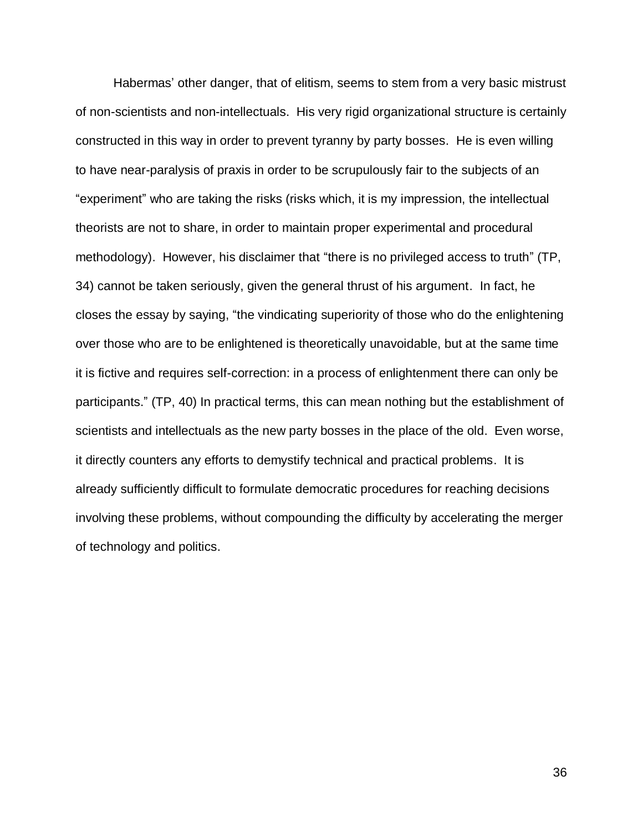Habermas' other danger, that of elitism, seems to stem from a very basic mistrust of non-scientists and non-intellectuals. His very rigid organizational structure is certainly constructed in this way in order to prevent tyranny by party bosses. He is even willing to have near-paralysis of praxis in order to be scrupulously fair to the subjects of an "experiment" who are taking the risks (risks which, it is my impression, the intellectual theorists are not to share, in order to maintain proper experimental and procedural methodology). However, his disclaimer that "there is no privileged access to truth" (TP, 34) cannot be taken seriously, given the general thrust of his argument. In fact, he closes the essay by saying, "the vindicating superiority of those who do the enlightening over those who are to be enlightened is theoretically unavoidable, but at the same time it is fictive and requires self-correction: in a process of enlightenment there can only be participants." (TP, 40) In practical terms, this can mean nothing but the establishment of scientists and intellectuals as the new party bosses in the place of the old. Even worse, it directly counters any efforts to demystify technical and practical problems. It is already sufficiently difficult to formulate democratic procedures for reaching decisions involving these problems, without compounding the difficulty by accelerating the merger of technology and politics.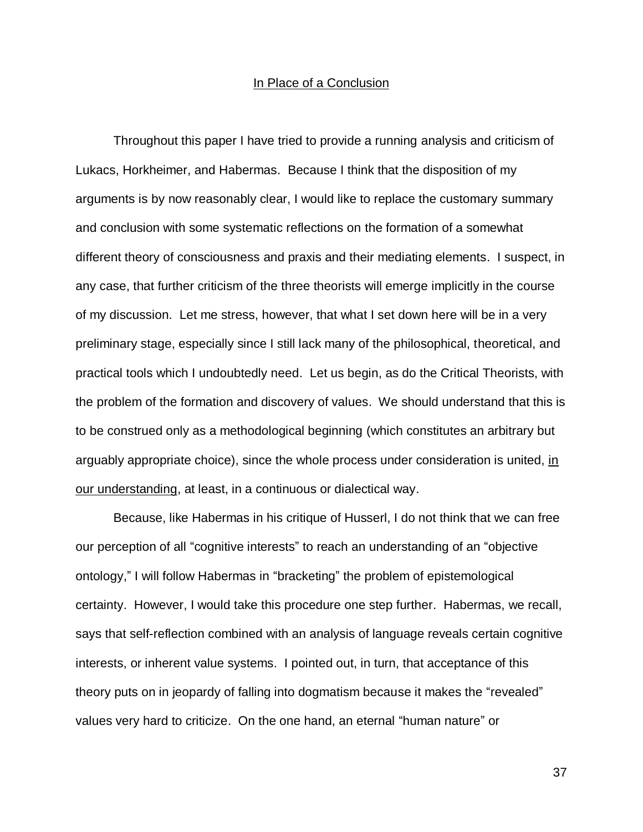### In Place of a Conclusion

Throughout this paper I have tried to provide a running analysis and criticism of Lukacs, Horkheimer, and Habermas. Because I think that the disposition of my arguments is by now reasonably clear, I would like to replace the customary summary and conclusion with some systematic reflections on the formation of a somewhat different theory of consciousness and praxis and their mediating elements. I suspect, in any case, that further criticism of the three theorists will emerge implicitly in the course of my discussion. Let me stress, however, that what I set down here will be in a very preliminary stage, especially since I still lack many of the philosophical, theoretical, and practical tools which I undoubtedly need. Let us begin, as do the Critical Theorists, with the problem of the formation and discovery of values. We should understand that this is to be construed only as a methodological beginning (which constitutes an arbitrary but arguably appropriate choice), since the whole process under consideration is united, in our understanding, at least, in a continuous or dialectical way.

Because, like Habermas in his critique of Husserl, I do not think that we can free our perception of all "cognitive interests" to reach an understanding of an "objective ontology," I will follow Habermas in "bracketing" the problem of epistemological certainty. However, I would take this procedure one step further. Habermas, we recall, says that self-reflection combined with an analysis of language reveals certain cognitive interests, or inherent value systems. I pointed out, in turn, that acceptance of this theory puts on in jeopardy of falling into dogmatism because it makes the "revealed" values very hard to criticize. On the one hand, an eternal "human nature" or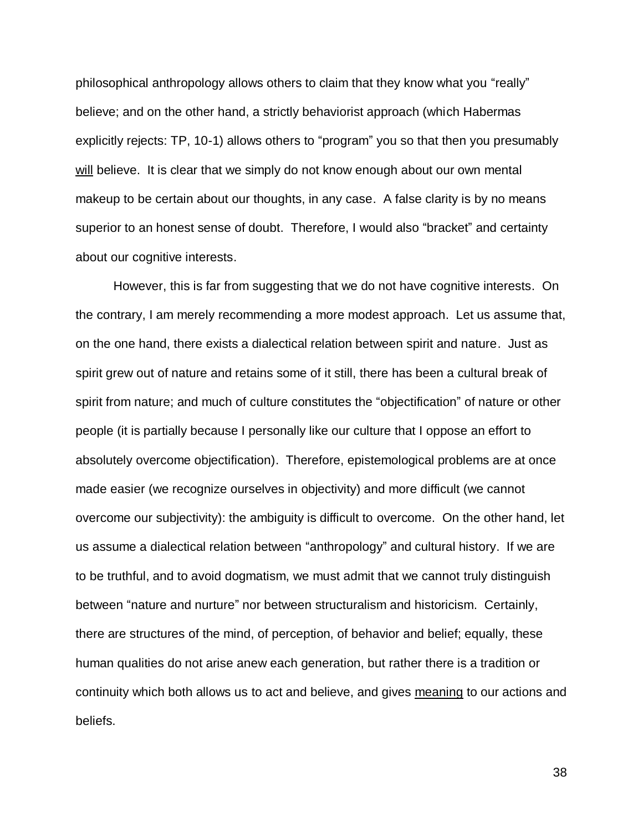philosophical anthropology allows others to claim that they know what you "really" believe; and on the other hand, a strictly behaviorist approach (which Habermas explicitly rejects: TP, 10-1) allows others to "program" you so that then you presumably will believe. It is clear that we simply do not know enough about our own mental makeup to be certain about our thoughts, in any case. A false clarity is by no means superior to an honest sense of doubt. Therefore, I would also "bracket" and certainty about our cognitive interests.

However, this is far from suggesting that we do not have cognitive interests. On the contrary, I am merely recommending a more modest approach. Let us assume that, on the one hand, there exists a dialectical relation between spirit and nature. Just as spirit grew out of nature and retains some of it still, there has been a cultural break of spirit from nature; and much of culture constitutes the "objectification" of nature or other people (it is partially because I personally like our culture that I oppose an effort to absolutely overcome objectification). Therefore, epistemological problems are at once made easier (we recognize ourselves in objectivity) and more difficult (we cannot overcome our subjectivity): the ambiguity is difficult to overcome. On the other hand, let us assume a dialectical relation between "anthropology" and cultural history. If we are to be truthful, and to avoid dogmatism, we must admit that we cannot truly distinguish between "nature and nurture" nor between structuralism and historicism. Certainly, there are structures of the mind, of perception, of behavior and belief; equally, these human qualities do not arise anew each generation, but rather there is a tradition or continuity which both allows us to act and believe, and gives meaning to our actions and beliefs.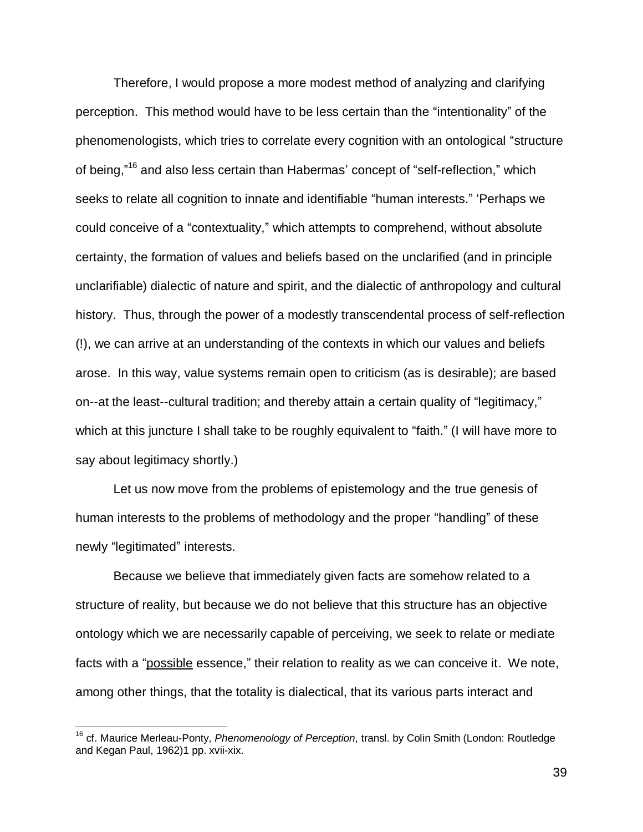Therefore, I would propose a more modest method of analyzing and clarifying perception. This method would have to be less certain than the "intentionality" of the phenomenologists, which tries to correlate every cognition with an ontological "structure of being,"<sup>16</sup> and also less certain than Habermas' concept of "self-reflection," which seeks to relate all cognition to innate and identifiable "human interests." 'Perhaps we could conceive of a "contextuality," which attempts to comprehend, without absolute certainty, the formation of values and beliefs based on the unclarified (and in principle unclarifiable) dialectic of nature and spirit, and the dialectic of anthropology and cultural history. Thus, through the power of a modestly transcendental process of self-reflection (!), we can arrive at an understanding of the contexts in which our values and beliefs arose. In this way, value systems remain open to criticism (as is desirable); are based on--at the least--cultural tradition; and thereby attain a certain quality of "legitimacy," which at this juncture I shall take to be roughly equivalent to "faith." (I will have more to say about legitimacy shortly.)

Let us now move from the problems of epistemology and the true genesis of human interests to the problems of methodology and the proper "handling" of these newly "legitimated" interests.

Because we believe that immediately given facts are somehow related to a structure of reality, but because we do not believe that this structure has an objective ontology which we are necessarily capable of perceiving, we seek to relate or mediate facts with a "possible essence," their relation to reality as we can conceive it. We note, among other things, that the totality is dialectical, that its various parts interact and

 $\overline{1}$ 

<sup>16</sup> cf. Maurice Merleau-Ponty, *Phenomenology of Perception*, transl. by Colin Smith (London: Routledge and Kegan Paul, 1962)1 pp. xvii-xix.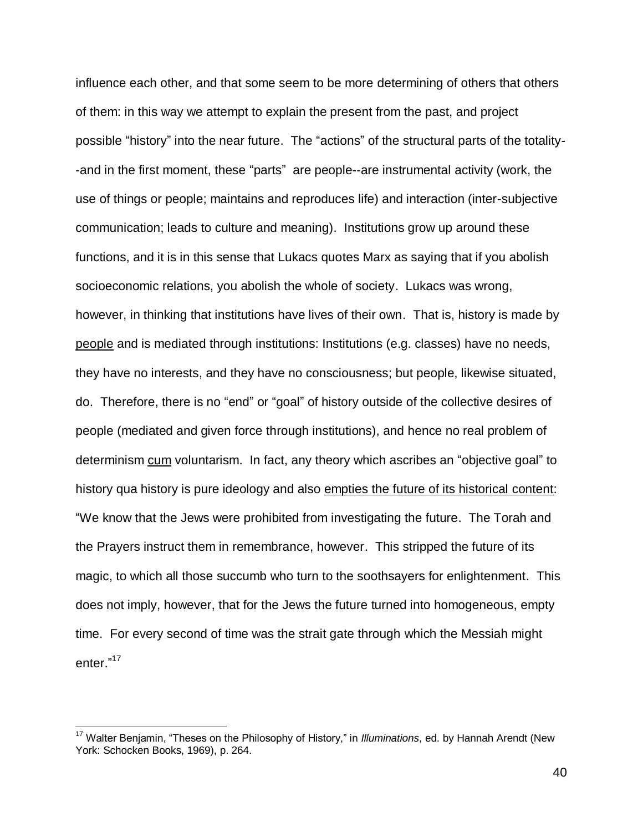influence each other, and that some seem to be more determining of others that others of them: in this way we attempt to explain the present from the past, and project possible "history" into the near future. The "actions" of the structural parts of the totality- -and in the first moment, these "parts" are people--are instrumental activity (work, the use of things or people; maintains and reproduces life) and interaction (inter-subjective communication; leads to culture and meaning). Institutions grow up around these functions, and it is in this sense that Lukacs quotes Marx as saying that if you abolish socioeconomic relations, you abolish the whole of society. Lukacs was wrong, however, in thinking that institutions have lives of their own. That is, history is made by people and is mediated through institutions: Institutions (e.g. classes) have no needs, they have no interests, and they have no consciousness; but people, likewise situated, do. Therefore, there is no "end" or "goal" of history outside of the collective desires of people (mediated and given force through institutions), and hence no real problem of determinism cum voluntarism. In fact, any theory which ascribes an "objective goal" to history qua history is pure ideology and also empties the future of its historical content: "We know that the Jews were prohibited from investigating the future. The Torah and the Prayers instruct them in remembrance, however. This stripped the future of its magic, to which all those succumb who turn to the soothsayers for enlightenment. This does not imply, however, that for the Jews the future turned into homogeneous, empty time. For every second of time was the strait gate through which the Messiah might enter."<sup>17</sup>

 $\overline{1}$ 

<sup>17</sup> Walter Benjamin, "Theses on the Philosophy of History," in *Illuminations*, ed. by Hannah Arendt (New York: Schocken Books, 1969), p. 264.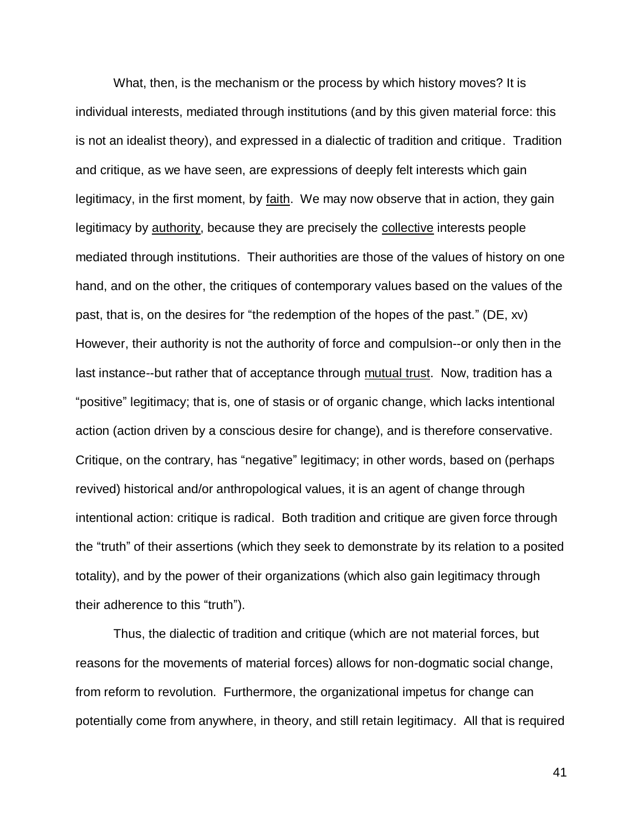What, then, is the mechanism or the process by which history moves? It is individual interests, mediated through institutions (and by this given material force: this is not an idealist theory), and expressed in a dialectic of tradition and critique. Tradition and critique, as we have seen, are expressions of deeply felt interests which gain legitimacy, in the first moment, by faith. We may now observe that in action, they gain legitimacy by authority, because they are precisely the collective interests people mediated through institutions. Their authorities are those of the values of history on one hand, and on the other, the critiques of contemporary values based on the values of the past, that is, on the desires for "the redemption of the hopes of the past." (DE, xv) However, their authority is not the authority of force and compulsion--or only then in the last instance--but rather that of acceptance through mutual trust. Now, tradition has a "positive" legitimacy; that is, one of stasis or of organic change, which lacks intentional action (action driven by a conscious desire for change), and is therefore conservative. Critique, on the contrary, has "negative" legitimacy; in other words, based on (perhaps revived) historical and/or anthropological values, it is an agent of change through intentional action: critique is radical. Both tradition and critique are given force through the "truth" of their assertions (which they seek to demonstrate by its relation to a posited totality), and by the power of their organizations (which also gain legitimacy through their adherence to this "truth").

Thus, the dialectic of tradition and critique (which are not material forces, but reasons for the movements of material forces) allows for non-dogmatic social change, from reform to revolution. Furthermore, the organizational impetus for change can potentially come from anywhere, in theory, and still retain legitimacy. All that is required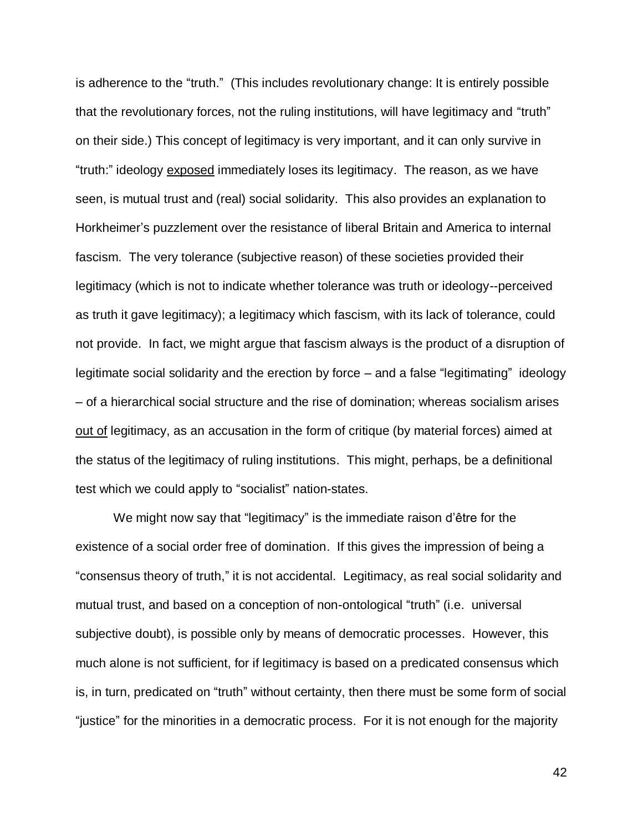is adherence to the "truth." (This includes revolutionary change: It is entirely possible that the revolutionary forces, not the ruling institutions, will have legitimacy and "truth" on their side.) This concept of legitimacy is very important, and it can only survive in "truth:" ideology exposed immediately loses its legitimacy. The reason, as we have seen, is mutual trust and (real) social solidarity. This also provides an explanation to Horkheimer's puzzlement over the resistance of liberal Britain and America to internal fascism. The very tolerance (subjective reason) of these societies provided their legitimacy (which is not to indicate whether tolerance was truth or ideology--perceived as truth it gave legitimacy); a legitimacy which fascism, with its lack of tolerance, could not provide. In fact, we might argue that fascism always is the product of a disruption of legitimate social solidarity and the erection by force – and a false "legitimating" ideology – of a hierarchical social structure and the rise of domination; whereas socialism arises out of legitimacy, as an accusation in the form of critique (by material forces) aimed at the status of the legitimacy of ruling institutions. This might, perhaps, be a definitional test which we could apply to "socialist" nation-states.

We might now say that "legitimacy" is the immediate raison d'être for the existence of a social order free of domination. If this gives the impression of being a "consensus theory of truth," it is not accidental. Legitimacy, as real social solidarity and mutual trust, and based on a conception of non-ontological "truth" (i.e. universal subjective doubt), is possible only by means of democratic processes. However, this much alone is not sufficient, for if legitimacy is based on a predicated consensus which is, in turn, predicated on "truth" without certainty, then there must be some form of social "justice" for the minorities in a democratic process. For it is not enough for the majority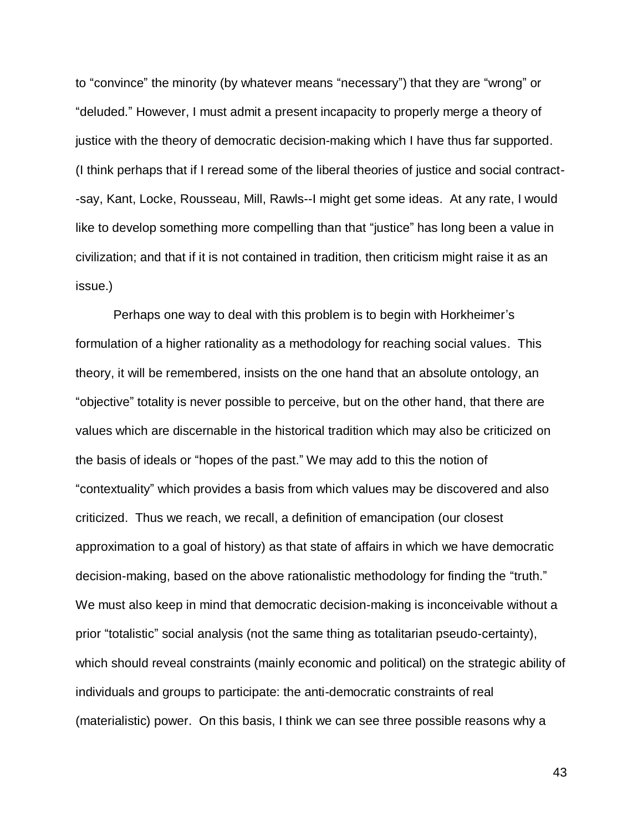to "convince" the minority (by whatever means "necessary") that they are "wrong" or "deluded." However, I must admit a present incapacity to properly merge a theory of justice with the theory of democratic decision-making which I have thus far supported. (I think perhaps that if I reread some of the liberal theories of justice and social contract- -say, Kant, Locke, Rousseau, Mill, Rawls--I might get some ideas. At any rate, I would like to develop something more compelling than that "justice" has long been a value in civilization; and that if it is not contained in tradition, then criticism might raise it as an issue.)

Perhaps one way to deal with this problem is to begin with Horkheimer's formulation of a higher rationality as a methodology for reaching social values. This theory, it will be remembered, insists on the one hand that an absolute ontology, an "objective" totality is never possible to perceive, but on the other hand, that there are values which are discernable in the historical tradition which may also be criticized on the basis of ideals or "hopes of the past." We may add to this the notion of "contextuality" which provides a basis from which values may be discovered and also criticized. Thus we reach, we recall, a definition of emancipation (our closest approximation to a goal of history) as that state of affairs in which we have democratic decision-making, based on the above rationalistic methodology for finding the "truth." We must also keep in mind that democratic decision-making is inconceivable without a prior "totalistic" social analysis (not the same thing as totalitarian pseudo-certainty), which should reveal constraints (mainly economic and political) on the strategic ability of individuals and groups to participate: the anti-democratic constraints of real (materialistic) power. On this basis, I think we can see three possible reasons why a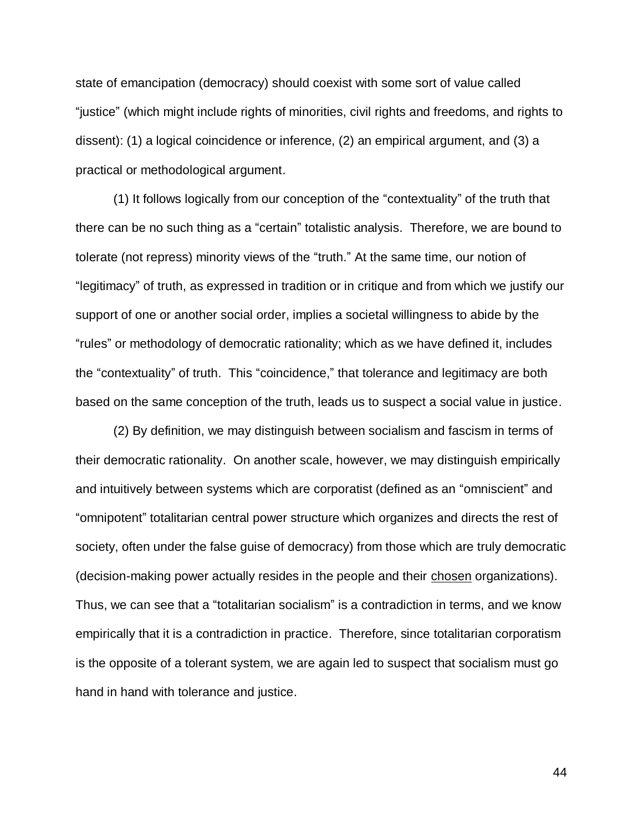state of emancipation (democracy) should coexist with some sort of value called "justice" (which might include rights of minorities, civil rights and freedoms, and rights to dissent): (1) a logical coincidence or inference, (2) an empirical argument, and (3) a practical or methodological argument.

(1) It follows logically from our conception of the "contextuality" of the truth that there can be no such thing as a "certain" totalistic analysis. Therefore, we are bound to tolerate (not repress) minority views of the "truth." At the same time, our notion of "legitimacy" of truth, as expressed in tradition or in critique and from which we justify our support of one or another social order, implies a societal willingness to abide by the "rules" or methodology of democratic rationality; which as we have defined it, includes the "contextuality" of truth. This "coincidence," that tolerance and legitimacy are both based on the same conception of the truth, leads us to suspect a social value in justice.

(2) By definition, we may distinguish between socialism and fascism in terms of their democratic rationality. On another scale, however, we may distinguish empirically and intuitively between systems which are corporatist (defined as an "omniscient" and "omnipotent" totalitarian central power structure which organizes and directs the rest of society, often under the false guise of democracy) from those which are truly democratic (decision-making power actually resides in the people and their chosen organizations). Thus, we can see that a "totalitarian socialism" is a contradiction in terms, and we know empirically that it is a contradiction in practice. Therefore, since totalitarian corporatism is the opposite of a tolerant system, we are again led to suspect that socialism must go hand in hand with tolerance and justice.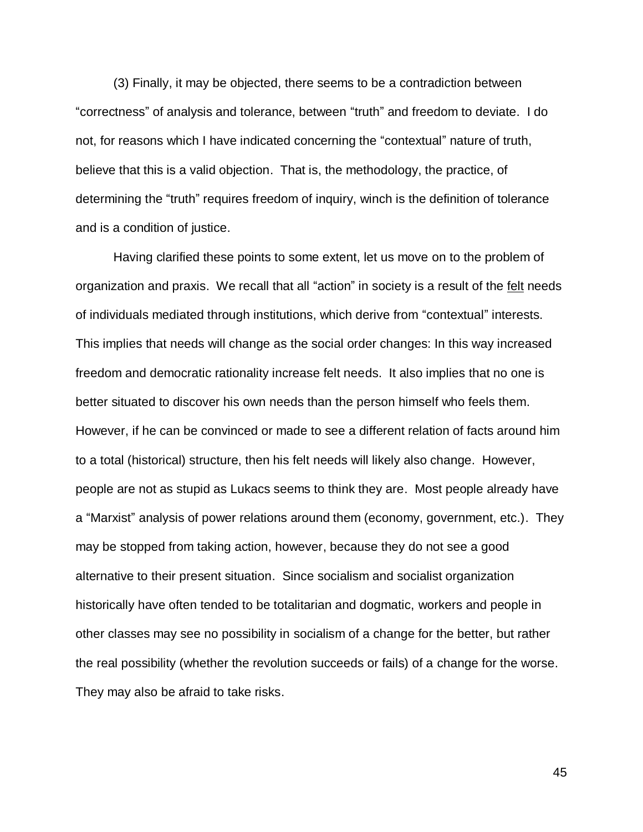(3) Finally, it may be objected, there seems to be a contradiction between "correctness" of analysis and tolerance, between "truth" and freedom to deviate. I do not, for reasons which I have indicated concerning the "contextual" nature of truth, believe that this is a valid objection. That is, the methodology, the practice, of determining the "truth" requires freedom of inquiry, winch is the definition of tolerance and is a condition of justice.

Having clarified these points to some extent, let us move on to the problem of organization and praxis. We recall that all "action" in society is a result of the felt needs of individuals mediated through institutions, which derive from "contextual" interests. This implies that needs will change as the social order changes: In this way increased freedom and democratic rationality increase felt needs. It also implies that no one is better situated to discover his own needs than the person himself who feels them. However, if he can be convinced or made to see a different relation of facts around him to a total (historical) structure, then his felt needs will likely also change. However, people are not as stupid as Lukacs seems to think they are. Most people already have a "Marxist" analysis of power relations around them (economy, government, etc.). They may be stopped from taking action, however, because they do not see a good alternative to their present situation. Since socialism and socialist organization historically have often tended to be totalitarian and dogmatic, workers and people in other classes may see no possibility in socialism of a change for the better, but rather the real possibility (whether the revolution succeeds or fails) of a change for the worse. They may also be afraid to take risks.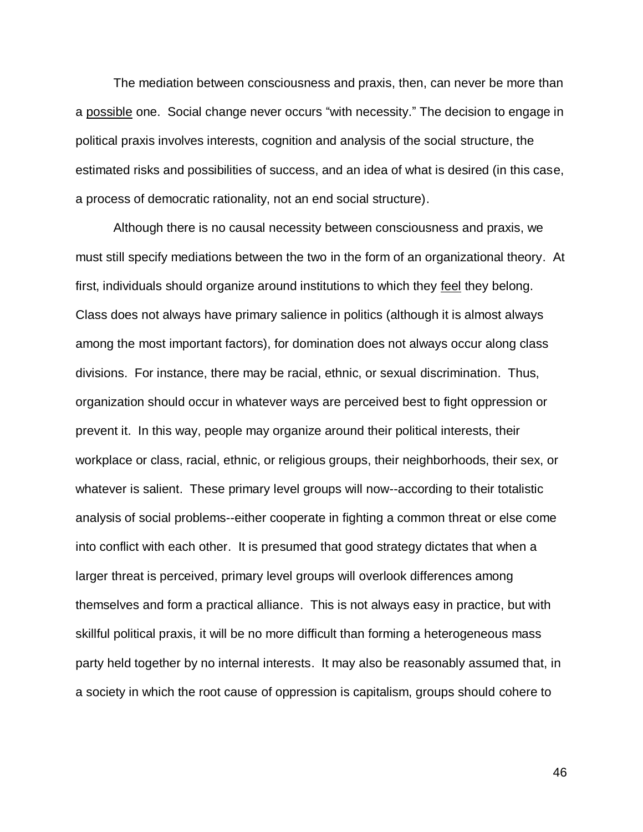The mediation between consciousness and praxis, then, can never be more than a possible one. Social change never occurs "with necessity." The decision to engage in political praxis involves interests, cognition and analysis of the social structure, the estimated risks and possibilities of success, and an idea of what is desired (in this case, a process of democratic rationality, not an end social structure).

Although there is no causal necessity between consciousness and praxis, we must still specify mediations between the two in the form of an organizational theory. At first, individuals should organize around institutions to which they feel they belong. Class does not always have primary salience in politics (although it is almost always among the most important factors), for domination does not always occur along class divisions. For instance, there may be racial, ethnic, or sexual discrimination. Thus, organization should occur in whatever ways are perceived best to fight oppression or prevent it. In this way, people may organize around their political interests, their workplace or class, racial, ethnic, or religious groups, their neighborhoods, their sex, or whatever is salient. These primary level groups will now--according to their totalistic analysis of social problems--either cooperate in fighting a common threat or else come into conflict with each other. It is presumed that good strategy dictates that when a larger threat is perceived, primary level groups will overlook differences among themselves and form a practical alliance. This is not always easy in practice, but with skillful political praxis, it will be no more difficult than forming a heterogeneous mass party held together by no internal interests. It may also be reasonably assumed that, in a society in which the root cause of oppression is capitalism, groups should cohere to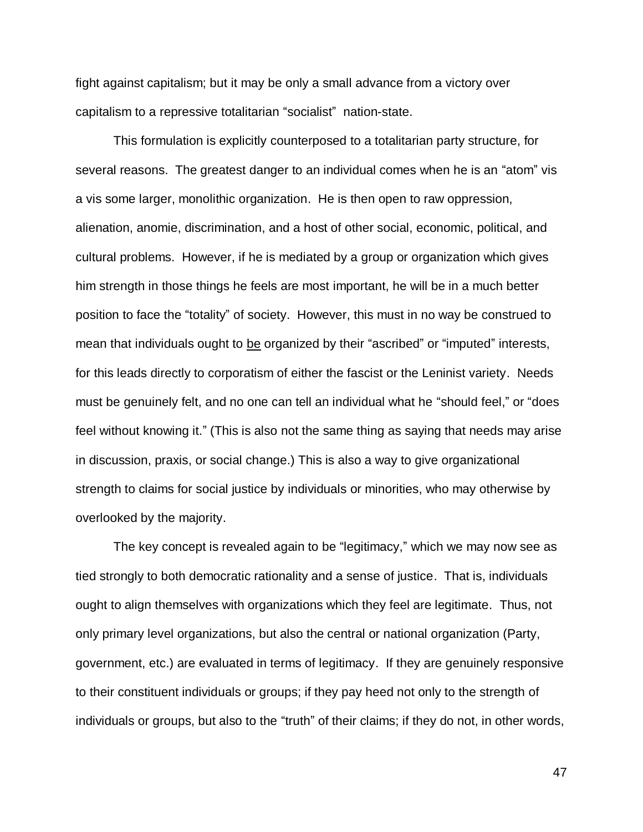fight against capitalism; but it may be only a small advance from a victory over capitalism to a repressive totalitarian "socialist" nation-state.

This formulation is explicitly counterposed to a totalitarian party structure, for several reasons. The greatest danger to an individual comes when he is an "atom" vis a vis some larger, monolithic organization. He is then open to raw oppression, alienation, anomie, discrimination, and a host of other social, economic, political, and cultural problems. However, if he is mediated by a group or organization which gives him strength in those things he feels are most important, he will be in a much better position to face the "totality" of society. However, this must in no way be construed to mean that individuals ought to be organized by their "ascribed" or "imputed" interests, for this leads directly to corporatism of either the fascist or the Leninist variety. Needs must be genuinely felt, and no one can tell an individual what he "should feel," or "does feel without knowing it." (This is also not the same thing as saying that needs may arise in discussion, praxis, or social change.) This is also a way to give organizational strength to claims for social justice by individuals or minorities, who may otherwise by overlooked by the majority.

The key concept is revealed again to be "legitimacy," which we may now see as tied strongly to both democratic rationality and a sense of justice. That is, individuals ought to align themselves with organizations which they feel are legitimate. Thus, not only primary level organizations, but also the central or national organization (Party, government, etc.) are evaluated in terms of legitimacy. If they are genuinely responsive to their constituent individuals or groups; if they pay heed not only to the strength of individuals or groups, but also to the "truth" of their claims; if they do not, in other words,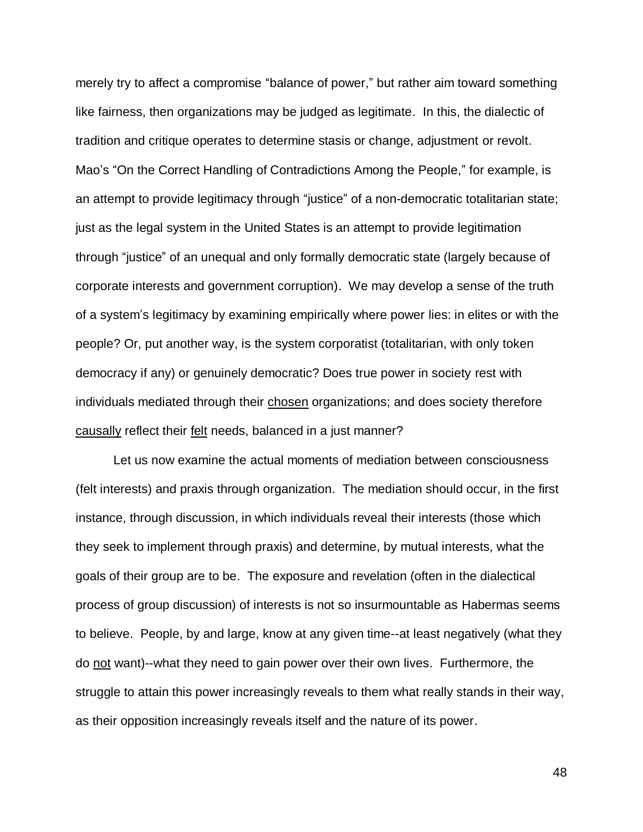merely try to affect a compromise "balance of power," but rather aim toward something like fairness, then organizations may be judged as legitimate. In this, the dialectic of tradition and critique operates to determine stasis or change, adjustment or revolt. Mao's "On the Correct Handling of Contradictions Among the People," for example, is an attempt to provide legitimacy through "justice" of a non-democratic totalitarian state; just as the legal system in the United States is an attempt to provide legitimation through "justice" of an unequal and only formally democratic state (largely because of corporate interests and government corruption). We may develop a sense of the truth of a system's legitimacy by examining empirically where power lies: in elites or with the people? Or, put another way, is the system corporatist (totalitarian, with only token democracy if any) or genuinely democratic? Does true power in society rest with individuals mediated through their chosen organizations; and does society therefore causally reflect their felt needs, balanced in a just manner?

Let us now examine the actual moments of mediation between consciousness (felt interests) and praxis through organization. The mediation should occur, in the first instance, through discussion, in which individuals reveal their interests (those which they seek to implement through praxis) and determine, by mutual interests, what the goals of their group are to be. The exposure and revelation (often in the dialectical process of group discussion) of interests is not so insurmountable as Habermas seems to believe. People, by and large, know at any given time--at least negatively (what they do not want)--what they need to gain power over their own lives. Furthermore, the struggle to attain this power increasingly reveals to them what really stands in their way, as their opposition increasingly reveals itself and the nature of its power.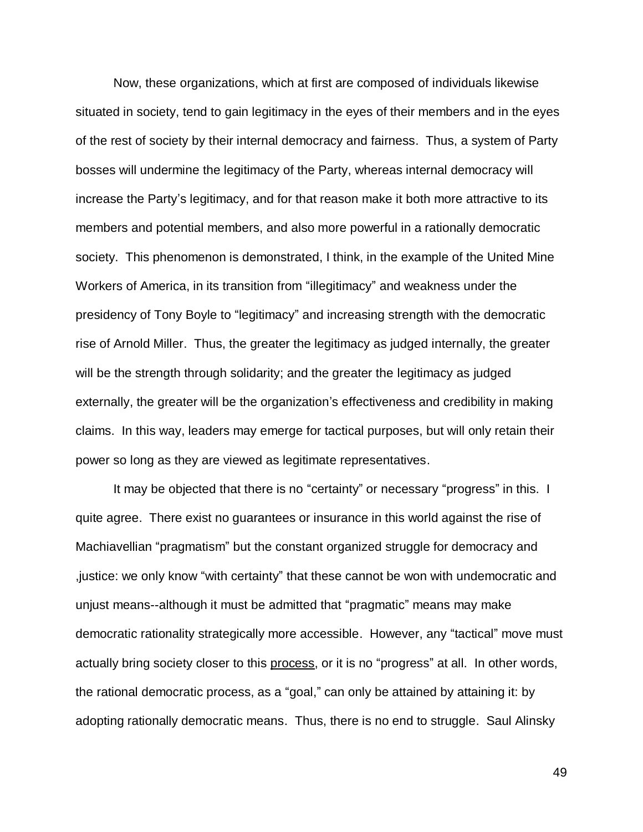Now, these organizations, which at first are composed of individuals likewise situated in society, tend to gain legitimacy in the eyes of their members and in the eyes of the rest of society by their internal democracy and fairness. Thus, a system of Party bosses will undermine the legitimacy of the Party, whereas internal democracy will increase the Party's legitimacy, and for that reason make it both more attractive to its members and potential members, and also more powerful in a rationally democratic society. This phenomenon is demonstrated, I think, in the example of the United Mine Workers of America, in its transition from "illegitimacy" and weakness under the presidency of Tony Boyle to "legitimacy" and increasing strength with the democratic rise of Arnold Miller. Thus, the greater the legitimacy as judged internally, the greater will be the strength through solidarity; and the greater the legitimacy as judged externally, the greater will be the organization's effectiveness and credibility in making claims. In this way, leaders may emerge for tactical purposes, but will only retain their power so long as they are viewed as legitimate representatives.

It may be objected that there is no "certainty" or necessary "progress" in this. I quite agree. There exist no guarantees or insurance in this world against the rise of Machiavellian "pragmatism" but the constant organized struggle for democracy and ,justice: we only know "with certainty" that these cannot be won with undemocratic and unjust means--although it must be admitted that "pragmatic" means may make democratic rationality strategically more accessible. However, any "tactical" move must actually bring society closer to this process, or it is no "progress" at all. In other words, the rational democratic process, as a "goal," can only be attained by attaining it: by adopting rationally democratic means. Thus, there is no end to struggle. Saul Alinsky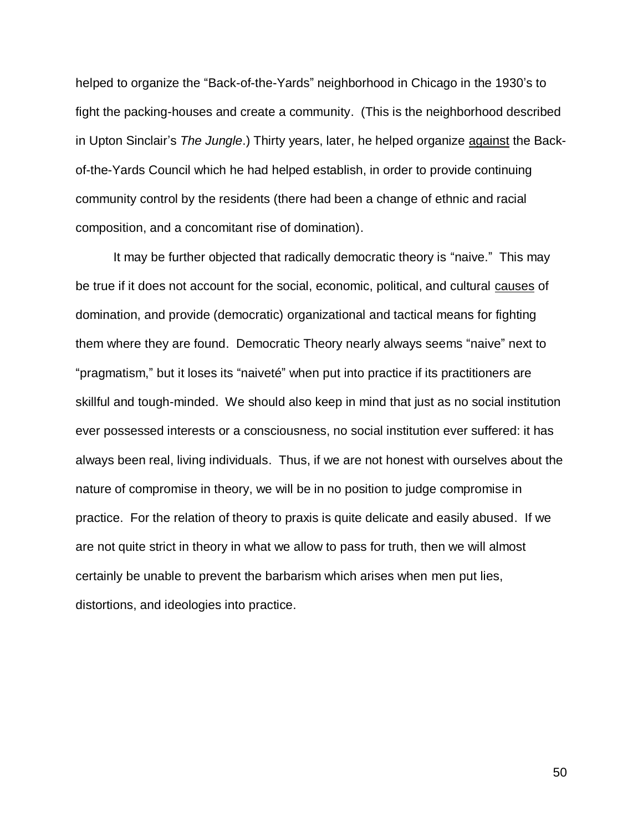helped to organize the "Back-of-the-Yards" neighborhood in Chicago in the 1930's to fight the packing-houses and create a community. (This is the neighborhood described in Upton Sinclair's *The Jungle*.) Thirty years, later, he helped organize against the Backof-the-Yards Council which he had helped establish, in order to provide continuing community control by the residents (there had been a change of ethnic and racial composition, and a concomitant rise of domination).

It may be further objected that radically democratic theory is "naive." This may be true if it does not account for the social, economic, political, and cultural causes of domination, and provide (democratic) organizational and tactical means for fighting them where they are found. Democratic Theory nearly always seems "naive" next to "pragmatism," but it loses its "naiveté" when put into practice if its practitioners are skillful and tough-minded. We should also keep in mind that just as no social institution ever possessed interests or a consciousness, no social institution ever suffered: it has always been real, living individuals. Thus, if we are not honest with ourselves about the nature of compromise in theory, we will be in no position to judge compromise in practice. For the relation of theory to praxis is quite delicate and easily abused. If we are not quite strict in theory in what we allow to pass for truth, then we will almost certainly be unable to prevent the barbarism which arises when men put lies, distortions, and ideologies into practice.